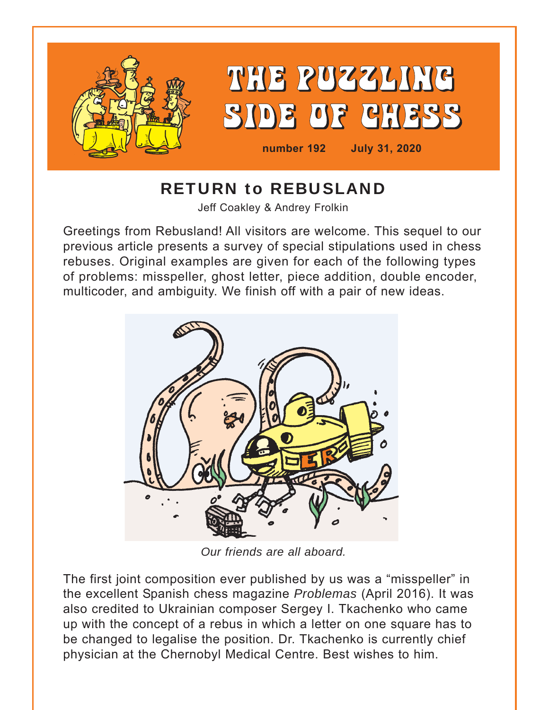

# RETURN to REBUSLAND

Jeff Coakley & Andrey Frolkin

Greetings from Rebusland! All visitors are welcome. This sequel to our previous article presents a survey of special stipulations used in chess rebuses. Original examples are given for each of the following types of problems: misspeller, ghost letter, piece addition, double encoder, multicoder, and ambiguity. We finish off with a pair of new ideas.



*Our friends are all aboard.*

The first joint composition ever published by us was a "misspeller" in the excellent Spanish chess magazine *Problemas* (April 2016). It was also credited to Ukrainian composer Sergey I. Tkachenko who came up with the concept of a rebus in which a letter on one square has to be changed to legalise the position. Dr. Tkachenko is currently chief physician at the Chernobyl Medical Centre. Best wishes to him.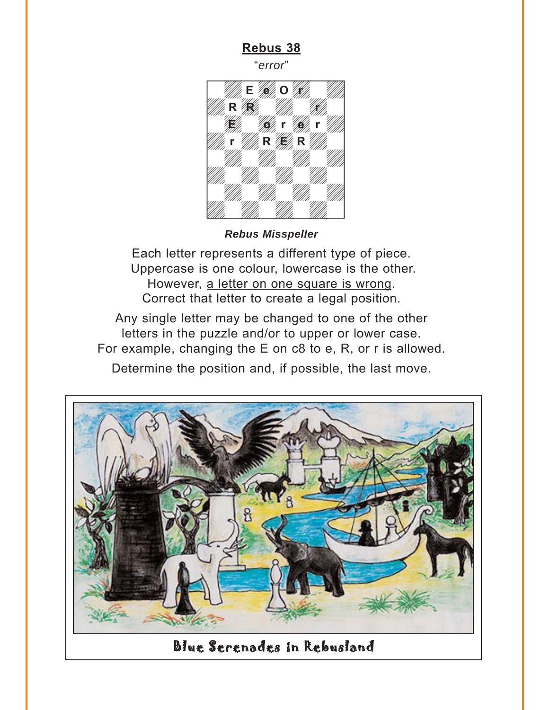"*error*"

<span id="page-1-0"></span>

Each letter represents a different type of piece. Uppercase is one colour, lowercase is the other. However, a letter on one square is wrong. Correct that letter to create a legal position.

Any single letter may be changed to one of the other letters in the puzzle and/or to upper or lower case. For example, changing the E on c8 to e, R, or r is allowed. Determine the position and, if possible, the last move.



Blue Serenades in Rebusland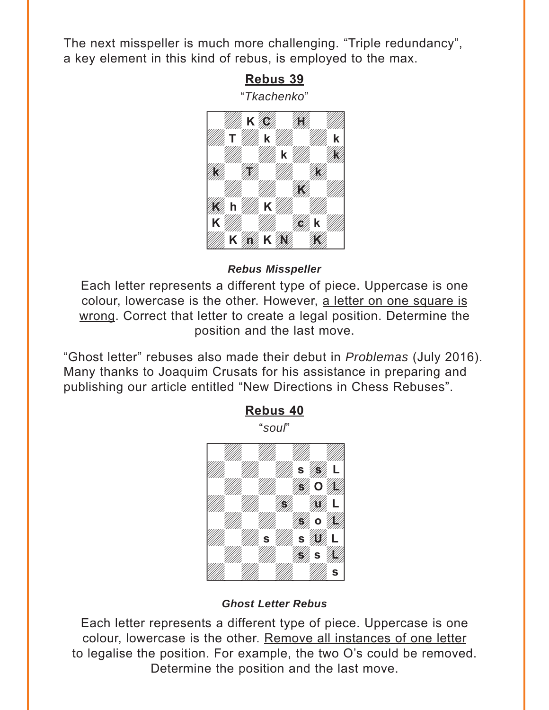<span id="page-2-0"></span>The next misspeller is much more challenging. "Triple redundancy", a key element in this kind of rebus, is employed to the max.



*Rebus Misspeller*

Each letter represents a different type of piece. Uppercase is one colour, lowercase is the other. However, a letter on one square is wrong. Correct that letter to create a legal position. Determine the position and the last move.

"Ghost letter" rebuses also made their debut in *Problemas* (July 2016). Many thanks to Joaquim Crusats for his assistance in preparing and publishing our article entitled "New Directions in Chess Rebuses".



*Ghost Letter Rebus*

Each letter represents a different type of piece. Uppercase is one colour, lowercase is the other. Remove all instances of one letter to legalise the position. For example, the two O's could be removed. Determine the position and the last move.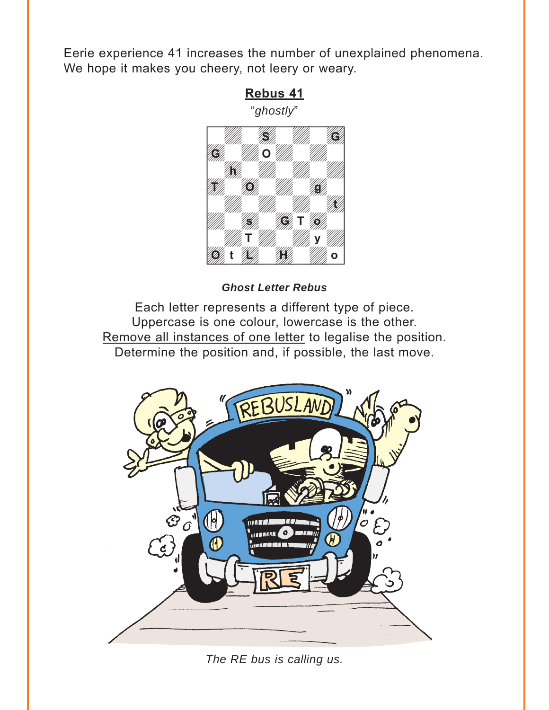<span id="page-3-0"></span>Eerie experience 41 increases the number of unexplained phenomena. We hope it makes you cheery, not leery or weary.

**[Rebus 41](#page-16-0)**



*Ghost Letter Rebus*

Each letter represents a different type of piece. Uppercase is one colour, lowercase is the other. Remove all instances of one letter to legalise the position. Determine the position and, if possible, the last move.



*The RE bus is calling us.*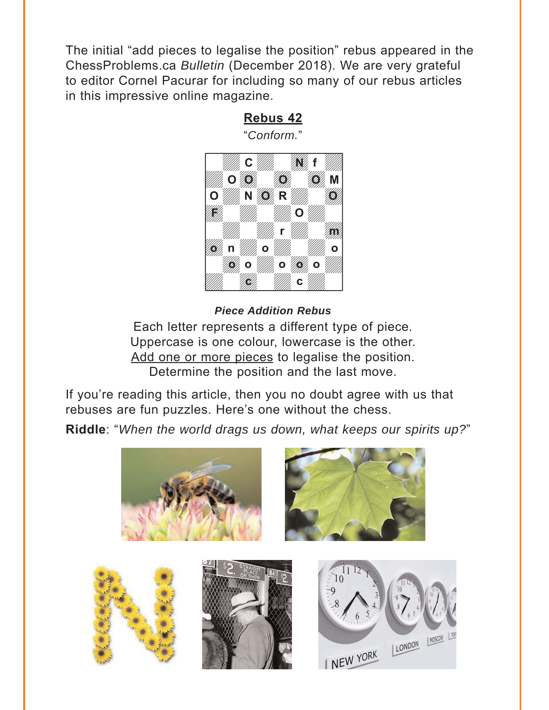<span id="page-4-0"></span>The initial "add pieces to legalise the position" rebus appeared in the ChessProblems.ca *Bulletin* (December 2018). We are very grateful to editor Cornel Pacurar for including so many of our rebus articles in this impressive online magazine.

#### $\frac{1}{\sqrt{2}}$ **E March Way film EXAMPLE OF OUR ARRAN O MA NOR R MA O**  $\sigma$  and  $\sigma$  and  $\sigma$  and  $\sigma$ **March March 1988**  $\mathcal{H}_d$  n  $\mathcal{H}_d$  o  $\mathcal{H}_d$  or  $\mathbb{Z}$  (where  $\mathbb{Z}$  of  $\mathbb{Z}$  of  $\mathbb{Z}$  of  $\mathbb{Z}$  of  $\mathbb{Z}$  of  $\mathbb{Z}$  of  $\mathbb{Z}$  of  $\mathbb{Z}$  of  $\mathbb{Z}$  of  $\mathbb{Z}$  of  $\mathbb{Z}$  of  $\mathbb{Z}$  of  $\mathbb{Z}$  of  $\mathbb{Z}$  of  $\mathbb{Z}$  of  $\mathbb{Z}$  of  $\mathbb{Z}$  of  $\epsilon$  and  $\epsilon$  and  $\epsilon$  and  $\epsilon$ **C** *Willia* **Max** f **F** 11. – IIII 11. **O r m o** n *illilla* o *illilla.* O **o** *b* **c** will be a community of the community of the community  $\mathbf{c}$  in the community of the community of the community

#### *Piece Addition Rebus*  $\frac{1}{\sqrt{2\pi}}$  we have the set of  $\frac{1}{\sqrt{2\pi}}$

Each letter represents a different type of piece. Uppercase is one colour, lowercase is the other. Add one or more pieces to legalise the position. Determine the position and the last move.

If you're reading this article, then you no doubt agree with us that rebuses are fun puzzles. Here's one without the chess.

**[Riddle](#page-19-0)**: "*When the world drags us down, what keeps our spirits up?*"



**[Rebus 42](#page-18-0)**

"*Conform.*"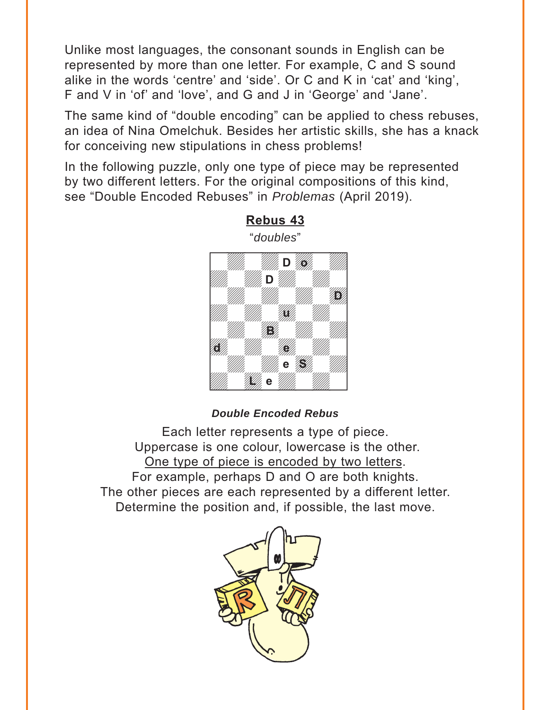<span id="page-5-0"></span>Unlike most languages, the consonant sounds in English can be represented by more than one letter. For example, C and S sound alike in the words 'centre' and 'side'. Or C and K in 'cat' and 'king', F and V in 'of' and 'love', and G and J in 'George' and 'Jane'.

The same kind of "double encoding" can be applied to chess rebuses, an idea of Nina Omelchuk. Besides her artistic skills, she has a knack for conceiving new stipulations in chess problems!

In the following puzzle, only one type of piece may be represented by two different letters. For the original compositions of this kind, see "Double Encoded Rebuses" in *Problemas* (April 2019).



**[Rebus 43](#page-20-0)** "*doubles*"

#### *Double Encoded Rebus*

Each letter represents a type of piece. Uppercase is one colour, lowercase is the other. One type of piece is encoded by two letters. For example, perhaps D and O are both knights. The other pieces are each represented by a different letter. Determine the position and, if possible, the last move.

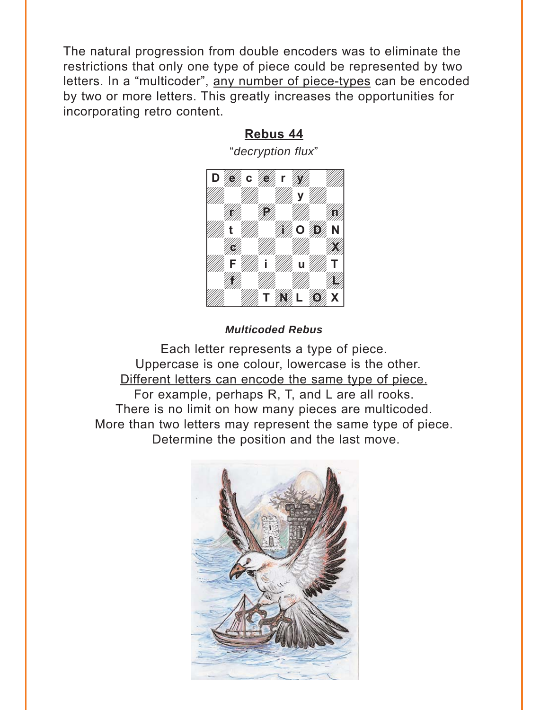<span id="page-6-0"></span>The natural progression from double encoders was to eliminate the restrictions that only one type of piece could be represented by two letters. In a "multicoder", any number of piece-types can be encoded by two or more letters. This greatly increases the opportunities for incorporating retro content.

### **[Rebus 44](#page-21-0)**



#### *Multicoded Rebus*

Each letter represents a type of piece. Uppercase is one colour, lowercase is the other. Different letters can encode the same type of piece. For example, perhaps R, T, and L are all rooks. There is no limit on how many pieces are multicoded. More than two letters may represent the same type of piece. Determine the position and the last move.

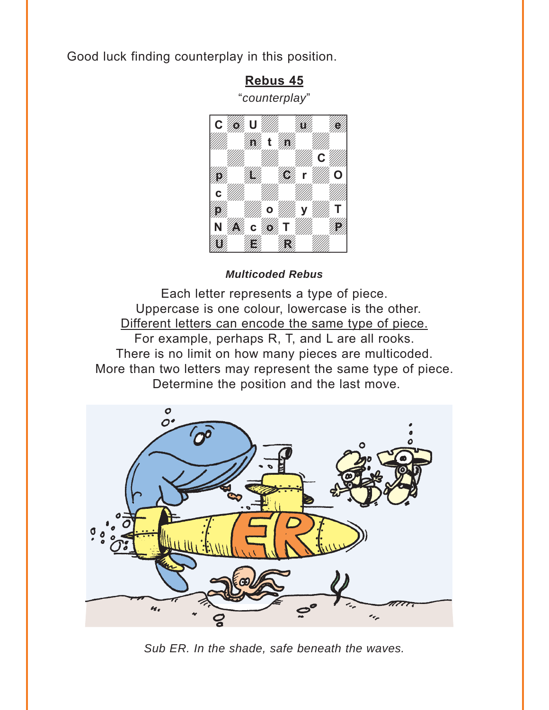<span id="page-7-0"></span>Good luck finding counterplay in this position.

**[Rebus 45](#page-24-0)**



*Multicoded Rebus* 

Each letter represents a type of piece. Uppercase is one colour, lowercase is the other. Different letters can encode the same type of piece. For example, perhaps R, T, and L are all rooks. There is no limit on how many pieces are multicoded. More than two letters may represent the same type of piece. Determine the position and the last move.



*Sub ER. In the shade, safe beneath the waves.*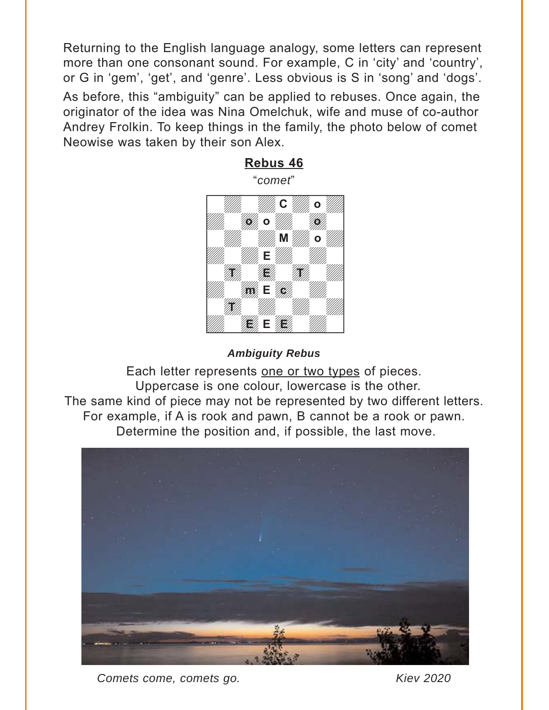<span id="page-8-0"></span>Returning to the English language analogy, some letters can represent more than one consonant sound. For example, C in 'city' and 'country', or G in 'gem', 'get', and 'genre'. Less obvious is S in 'song' and 'dogs'.

As before, this "ambiguity" can be applied to rebuses. Once again, the originator of the idea was Nina Omelchuk, wife and muse of co-author Andrey Frolkin. To keep things in the family, the photo below of comet Neowise was taken by their son Alex.



*Ambiguity Rebus* 

Each letter represents one or two types of pieces. Uppercase is one colour, lowercase is the other. The same kind of piece may not be represented by two different letters. For example, if A is rook and pawn, B cannot be a rook or pawn. Determine the position and, if possible, the last move.



*Comets come, comets go. Kiev 2020*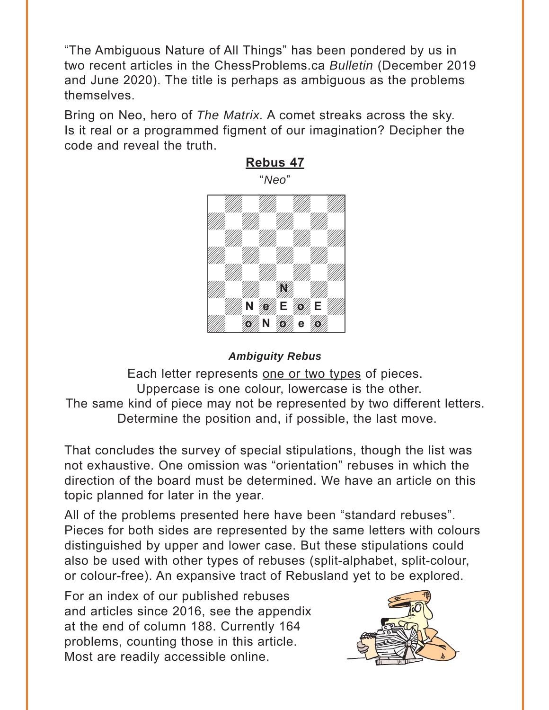<span id="page-9-0"></span>"The Ambiguous Nature of All Things" has been pondered by us in two recent articles in the ChessProblems.ca *Bulletin* (December 2019 and June 2020). The title is perhaps as ambiguous as the problems themselves.

Bring on Neo, hero of *The Matrix.* A comet streaks across the sky. Is it real or a programmed figment of our imagination? Decipher the code and reveal the truth.



#### *Ambiguity Rebus*

Each letter represents one or two types of pieces. Uppercase is one colour, lowercase is the other. The same kind of piece may not be represented by two different letters. Determine the position and, if possible, the last move.

That concludes the survey of special stipulations, though the list was not exhaustive. One omission was "orientation" rebuses in which the direction of the board must be determined. We have an article on this topic planned for later in the year.

All of the problems presented here have been "standard rebuses". Pieces for both sides are represented by the same letters with colours distinguished by upper and lower case. But these stipulations could also be used with other types of rebuses (split-alphabet, split-colour, or colour-free). An expansive tract of Rebusland yet to be explored.

For an index of our published rebuses and articles since 2016, see the appendix at the end of column 188. Currently 164 problems, counting those in this article. Most are readily accessible online.

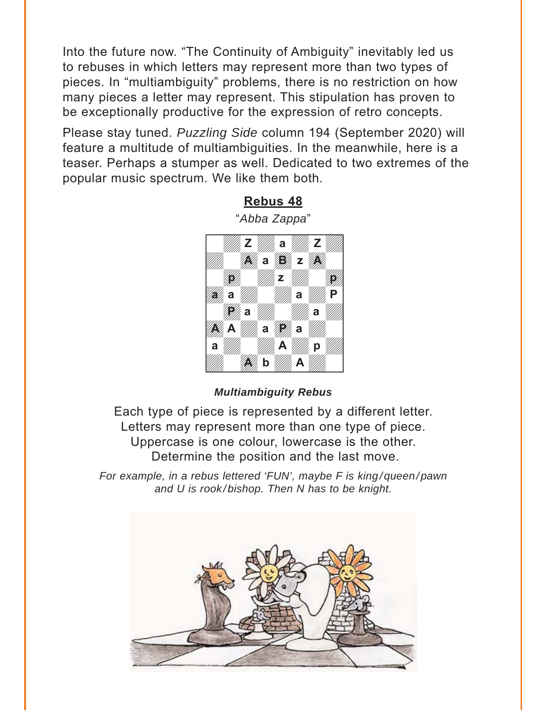<span id="page-10-0"></span>Into the future now. "The Continuity of Ambiguity" inevitably led us to rebuses in which letters may represent more than two types of pieces. In "multiambiguity" problems, there is no restriction on how many pieces a letter may represent. This stipulation has proven to be exceptionally productive for the expression of retro concepts.

Please stay tuned. *Puzzling Side* column 194 (September 2020) will feature a multitude of multiambiguities. In the meanwhile, here is a teaser. Perhaps a stumper as well. Dedicated to two extremes of the popular music spectrum. We like them both.



#### *Multiambiguity Rebus*

Each type of piece is represented by a different letter. Letters may represent more than one type of piece. Uppercase is one colour, lowercase is the other. Determine the position and the last move.

*For example, in a rebus lettered 'FUN', maybe F is king/queen/pawn and U is rook/bishop. Then N has to be knight.* 

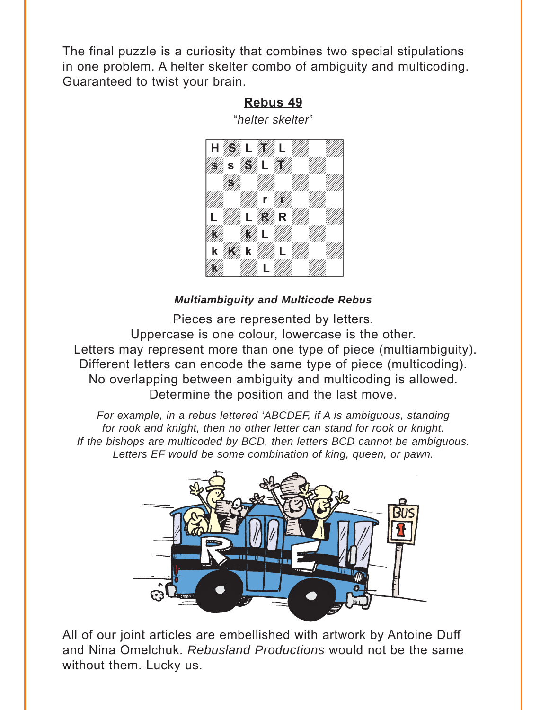<span id="page-11-0"></span>The final puzzle is a curiosity that combines two special stipulations in one problem. A helter skelter combo of ambiguity and multicoding. Guaranteed to twist your brain.

#### **[Rebus 49](#page-39-0)**

"*helter skelter*"



#### *Multiambiguity and Multicode Rebus*

Pieces are represented by letters. Uppercase is one colour, lowercase is the other. Letters may represent more than one type of piece (multiambiguity). Different letters can encode the same type of piece (multicoding). No overlapping between ambiguity and multicoding is allowed. Determine the position and the last move.

*For example, in a rebus lettered 'ABCDEF, if A is ambiguous, standing*  for rook and knight, then no other letter can stand for rook or knight. *If the bishops are multicoded by BCD, then letters BCD cannot be ambiguous. Letters EF would be some combination of king, queen, or pawn.* 



All of our joint articles are embellished with artwork by Antoine Duff and Nina Omelchuk. *Rebusland Productions* would not be the same without them. Lucky us.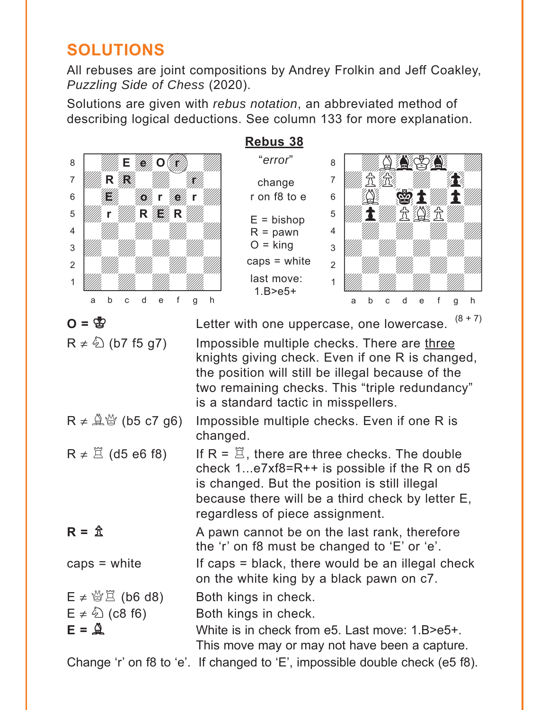# <span id="page-12-0"></span>**SOLUTIONS**

All rebuses are joint compositions by Andrey Frolkin and Jeff Coakley, *Puzzling Side of Chess* (2020).

Solutions are given with *rebus notation*, an abbreviated method of describing logical deductions. See column 133 for more explanation.

| Rebus 38                                                                                                   |                                                                                                                                                                                                                                                     |                                                                                                 |  |
|------------------------------------------------------------------------------------------------------------|-----------------------------------------------------------------------------------------------------------------------------------------------------------------------------------------------------------------------------------------------------|-------------------------------------------------------------------------------------------------|--|
| 8                                                                                                          | "error"                                                                                                                                                                                                                                             | 8                                                                                               |  |
| 7                                                                                                          | change                                                                                                                                                                                                                                              | 7                                                                                               |  |
| 6                                                                                                          | r on f8 to e                                                                                                                                                                                                                                        | 6<br><u>လာ</u>                                                                                  |  |
| 5<br>R                                                                                                     |                                                                                                                                                                                                                                                     | 5                                                                                               |  |
| 4                                                                                                          | $E = b$ ishop<br>$R =$ pawn                                                                                                                                                                                                                         | 4                                                                                               |  |
| 3                                                                                                          | $O =$ king                                                                                                                                                                                                                                          | 3                                                                                               |  |
| $\overline{2}$                                                                                             | caps $=$ white                                                                                                                                                                                                                                      | $\overline{2}$                                                                                  |  |
| 1                                                                                                          | last move:                                                                                                                                                                                                                                          | 1                                                                                               |  |
| f<br>d<br>b<br>e<br>Ċ<br>a                                                                                 | $1.B > e5+$<br>h<br>g                                                                                                                                                                                                                               | f<br>d<br>h<br>b<br>e<br>a<br>C<br>g                                                            |  |
|                                                                                                            |                                                                                                                                                                                                                                                     | $(8 + 7)$                                                                                       |  |
| $\mathbf{O} = \mathbf{Q}$                                                                                  |                                                                                                                                                                                                                                                     | Letter with one uppercase, one lowercase.                                                       |  |
| $R \neq \frac{\mathcal{E}}{2}$ (b7 f5 g7)                                                                  | Impossible multiple checks. There are three<br>knights giving check. Even if one R is changed,<br>the position will still be illegal because of the<br>two remaining checks. This "triple redundancy"<br>is a standard tactic in misspellers.       |                                                                                                 |  |
| $R \neq \mathcal{Q}$ $\mathcal{Q}'$ (b5 c7 g6)<br>Impossible multiple checks. Even if one R is<br>changed. |                                                                                                                                                                                                                                                     |                                                                                                 |  |
| $R \neq \mathbb{Z}$ (d5 e6 f8)                                                                             | If $R = \mathbb{Z}$ , there are three checks. The double<br>check $1e7xf8 = R++$ is possible if the R on d5<br>is changed. But the position is still illegal<br>because there will be a third check by letter E,<br>regardless of piece assignment. |                                                                                                 |  |
| $R = \mathbb{Z}$                                                                                           | A pawn cannot be on the last rank, therefore<br>the 'r' on f8 must be changed to 'E' or 'e'.                                                                                                                                                        |                                                                                                 |  |
| caps $=$ white                                                                                             | If caps = black, there would be an illegal check<br>on the white king by a black pawn on c7.                                                                                                                                                        |                                                                                                 |  |
| $E \neq \frac{35}{2}$ (b6 d8)<br>$E \neq \sqrt[5]{2}$ (c8 f6)<br>$E = \mathbf{Q}$                          | Both kings in check.<br>Both kings in check.                                                                                                                                                                                                        | White is in check from e5. Last move: 1.B>e5+.<br>This move may or may not have been a capture. |  |
|                                                                                                            |                                                                                                                                                                                                                                                     | Change 'r' on f8 to 'e'. If changed to 'E', impossible double check (e5 f8).                    |  |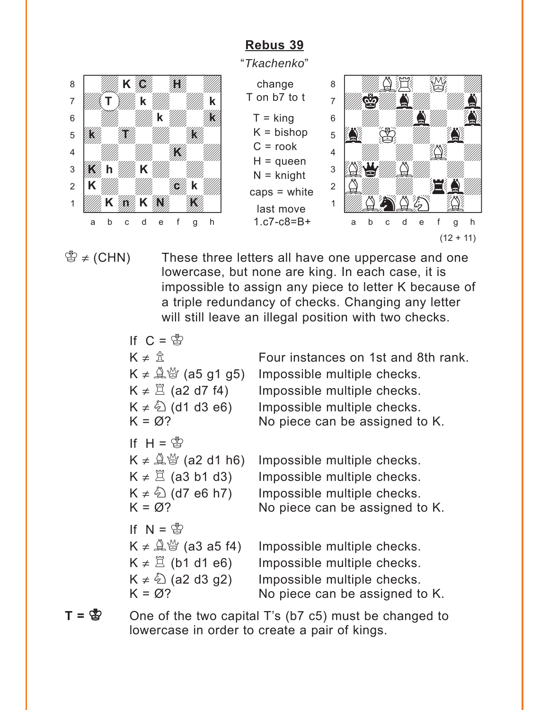<span id="page-13-0"></span>

"*Tkachenko*"





 $\mathbb{B} \neq$  (CHN) These three letters all have one uppercase and one lowercase, but none are king. In each case, it is impossible to assign any piece to letter K because of a triple redundancy of checks. Changing any letter will still leave an illegal position with two checks.

| Four instances on 1st and 8th rank.<br>Impossible multiple checks.<br>Impossible multiple checks.<br>Impossible multiple checks.<br>No piece can be assigned to K. |
|--------------------------------------------------------------------------------------------------------------------------------------------------------------------|
| Impossible multiple checks.<br>Impossible multiple checks.<br>Impossible multiple checks.<br>No piece can be assigned to K.                                        |
| Impossible multiple checks.<br>Impossible multiple checks.<br>Impossible multiple checks.<br>No piece can be assigned to K.                                        |
|                                                                                                                                                                    |

 $T = \mathbb{S}$  One of the two capital T's (b7 c5) must be changed to lowercase in order to create a pair of kings.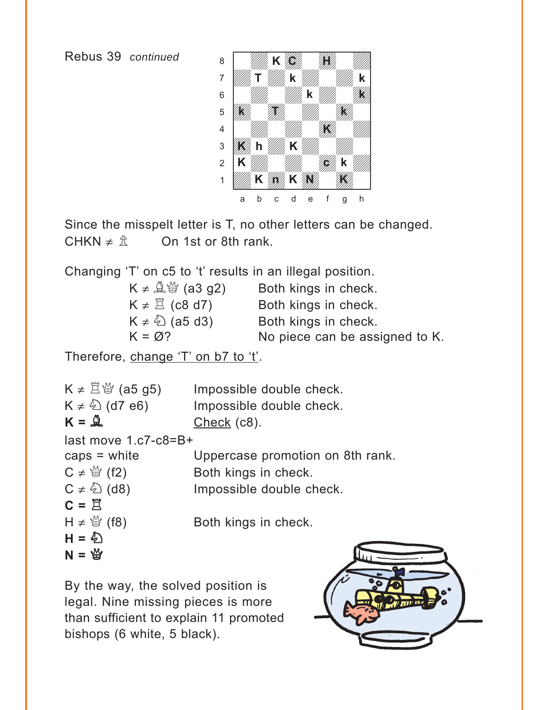Rebus 39 *continued*



Since the misspelt letter is T, no other letters can be changed. CHKN  $\neq \hat{\mathbb{Z}}$  On 1st or 8th rank.

Changing 'T' on c5 to 't' results in an illegal position.

| $K \neq \mathcal{L}^{\omega}$ (a3 g2) | Both kings in check.           |
|---------------------------------------|--------------------------------|
| $K \neq \mathbb{Z}$ (c8 d7)           | Both kings in check.           |
| $K \neq \hat{\mathbb{Q}}$ (a5 d3)     | Both kings in check.           |
| $K = \emptyset$ ?                     | No piece can be assigned to K. |

Therefore, change 'T' on b7 to 't'.

 $K \neq \Xi \, \ddot{\otimes}$  (a5 g5) Impossible double check.  $K \neq \hat{\triangle}$  (d7 e6) Impossible double check.  $K = \mathbb{Q}$  Check (c8). last move 1.c7-c8=B+ caps = white Uppercase promotion on 8th rank.  $C \neq \mathcal{Q}$  (f2) Both kings in check.  $C \neq \textcircled{2}$  (d8) Impossible double check.  $C =$  $H \neq \mathcal{Q}$  (f8) Both kings in check.  $H = \frac{1}{2}$  $N = \frac{M}{2}$ 

By the way, the solved position is legal. Nine missing pieces is more than sufficient to explain 11 promoted bishops (6 white, 5 black).

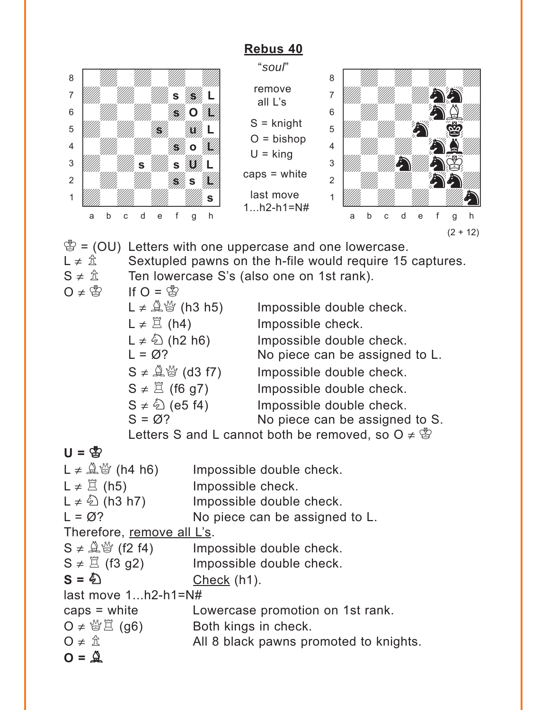<span id="page-15-0"></span>

 $S \neq \mathbb{Q}$  is (f2 f4) Impossible double check.

 $S \neq \mathbb{Z}$  (f3 g2) Impossible double check.

 $S = \bigotimes$  Check (h1).

last move 1...h2-h1=N#

```
caps = white Lowercase promotion on 1st rank.
```
 $\mathsf{O} \neq \mathcal{L} \boxtimes \mathcal{L}$  (g6) Both kings in check.

 $O \neq \hat{\mathbb{Z}}$  All 8 black pawns promoted to knights.

 $O = \frac{0}{2}$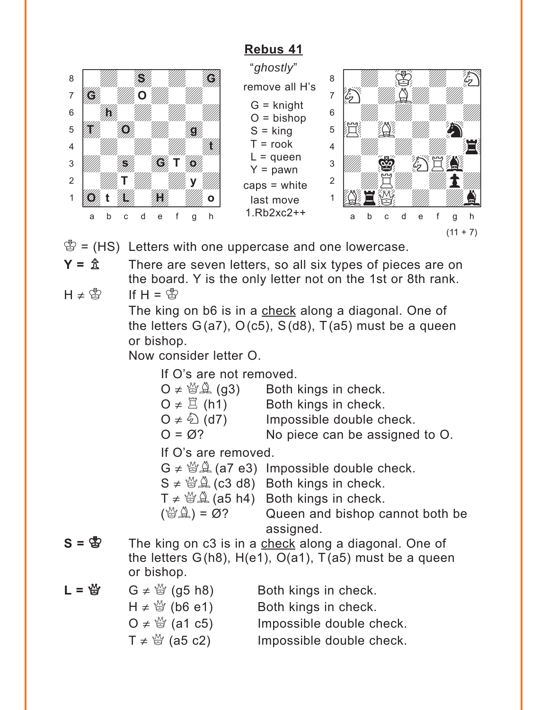<span id="page-16-0"></span>

"*ghostly*" remove all H's  $G =$  knight  $O = b$ ishop  $S =$  king  $T =$ rook  $L =$ queen  $Y =$  pawn caps = white last move 1.Rb2xc2++



 $\mathcal{B} = (HS)$  Letters with one uppercase and one lowercase.

 $Y = \hat{\mathbb{A}}$  There are seven letters, so all six types of pieces are on the board. Y is the only letter not on the 1st or 8th rank.  $H \neq \overset{\circ}{\mathbb{B}}$  If  $H = \overset{\circ}{\mathbb{B}}$ 

> The king on b6 is in a check along a diagonal. One of the letters  $G(a7)$ ,  $O(c5)$ ,  $S(d8)$ ,  $T(a5)$  must be a queen or bishop.

Now consider letter O.

If O's are not removed.

| $O \neq \mathcal{Q}(\mathcal{Q})$ | Both kings in check.           |
|-----------------------------------|--------------------------------|
| O $\neq \Xi$ (h1)                 | Both kings in check.           |
| $O \neq \sqrt[\ell]{2}$ (d7)      | Impossible double check.       |
| $O = \varnothing$ ?               | No piece can be assigned to O. |
| If $\bigcap$ 's are removed       |                                |

If O's are removed.

- $G \neq \mathcal{B}(\mathcal{A})$  (a7 e3) Impossible double check.
- $S \neq \mathcal{B}(\mathcal{A})$  (c3 d8) Both kings in check.
- $T \neq \mathcal{B}(\mathcal{A})$  (a5 h4) Both kings in check.
- $(\mathbb{Q}\mathbb{Z}) = \emptyset$ ? Queen and bishop cannot both be assigned.
- $S = \S$  The king on c3 is in a check along a diagonal. One of the letters  $G(h8)$ ,  $H(e1)$ ,  $O(a1)$ ,  $T(a5)$  must be a queen or bishop.

| $L = \frac{M}{2}$ | $G \neq \frac{M}{Q}$ (g5 h8)  | Both kings in check.     |
|-------------------|-------------------------------|--------------------------|
|                   | $H \neq \frac{35}{6}$ (b6 e1) | Both kings in check.     |
|                   | $Q \neq \frac{M}{Q}$ (a1 c5)  | Impossible double check. |
|                   | $T \neq \frac{36}{3}$ (a5 c2) | Impossible double check. |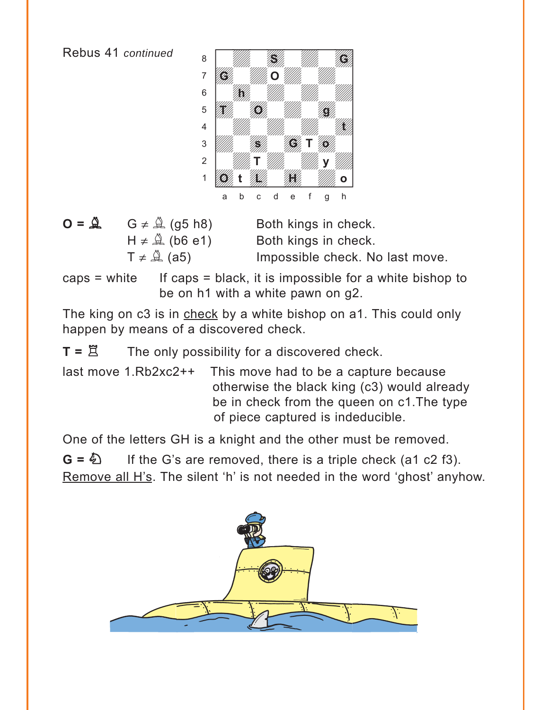

 $\mathbf{O} = \mathbf{A}$   $\mathbf{G} \neq \mathbf{A}$  (g5 h8) Both kings in check.

 $H \neq \hat{A}$  (b6 e1) Both kings in check.  $T \neq \mathcal{Q}(a5)$  Impossible check. No last move.

caps  $=$  white If caps  $=$  black, it is impossible for a white bishop to be on h1 with a white pawn on g2.

The king on c3 is in check by a white bishop on a1. This could only happen by means of a discovered check.

 $T = \mathbb{Z}$  The only possibility for a discovered check.

last move 1.Rb2xc2++ This move had to be a capture because otherwise the black king (c3) would already be in check from the queen on c1.The type of piece captured is indeducible.

One of the letters GH is a knight and the other must be removed.

 $G = \bigotimes$  If the G's are removed, there is a triple check (a1 c2 f3). Remove all H's. The silent 'h' is not needed in the word 'ghost' anyhow.

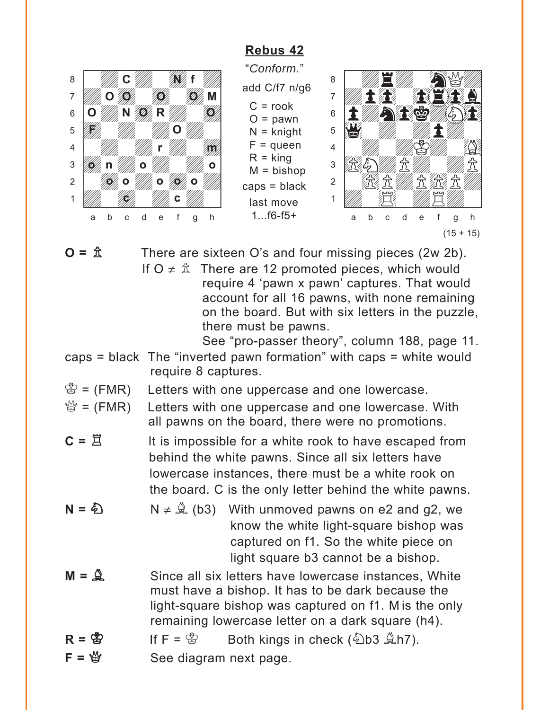<span id="page-18-0"></span>

"*Conform.*" add C/f7 n/g6  $C = \text{rook}$  $O =$  pawn  $N =$  knight  $F =$ queen  $R =$  king  $M = b$ ishop

caps = black last move 1...f6-f5+



 $\mathbf{O} = \hat{\mathbb{A}}$  There are sixteen O's and four missing pieces (2w 2b).

If  $O \neq \hat{\mathbb{Z}}$  There are 12 promoted pieces, which would require 4 'pawn x pawn' captures. That would account for all 16 pawns, with none remaining on the board. But with six letters in the puzzle, there must be pawns.

See "pro-passer theory", column 188, page 11.

- caps = black The "inverted pawn formation" with caps = white would require 8 captures.
- $\mathcal{L} = (FMR)$  Letters with one uppercase and one lowercase.
- $\mathbb{Q} = (FMR)$  Letters with one uppercase and one lowercase. With all pawns on the board, there were no promotions.
- $C = \Xi$  It is impossible for a white rook to have escaped from behind the white pawns. Since all six letters have lowercase instances, there must be a white rook on the board. C is the only letter behind the white pawns.
- **N =**  $\bigcirc$  N  $\neq \bigcirc$  (b3) With unmoved pawns on e2 and g2, we know the white light-square bishop was captured on f1. So the white piece on light square b3 cannot be a bishop.
- **M =**  $\hat{A}$  Since all six letters have lowercase instances, White must have a bishop. It has to be dark because the light-square bishop was captured on f1. M is the only remaining lowercase letter on a dark square (h4).
- $R = \& \qquad \text{If } F = \& \qquad \text{Both kings in check } (\> b3 \> h7).$
- $$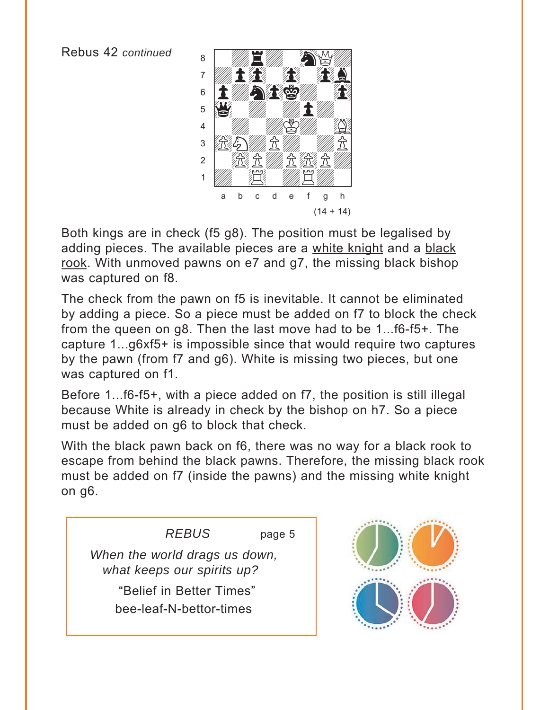<span id="page-19-0"></span>

Both kings are in check (f5 g8). The position must be legalised by adding pieces. The available pieces are a white knight and a black rook. With unmoved pawns on e7 and g7, the missing black bishop was captured on f8.

The check from the pawn on f5 is inevitable. It cannot be eliminated by adding a piece. So a piece must be added on f7 to block the check from the queen on g8. Then the last move had to be 1...f6-f5+. The capture 1...g6xf5+ is impossible since that would require two captures by the pawn (from f7 and g6). White is missing two pieces, but one was captured on f1.

Before 1...f6-f5+, with a piece added on f7, the position is still illegal because White is already in check by the bishop on h7. So a piece must be added on g6 to block that check.

With the black pawn back on f6, there was no way for a black rook to escape from behind the black pawns. Therefore, the missing black rook must be added on f7 (inside the pawns) and the missing white knight on g6.

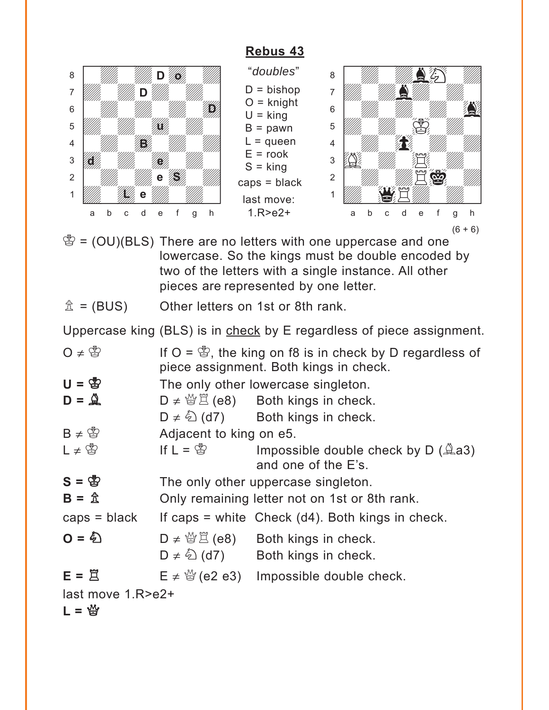<span id="page-20-0"></span>

"*doubles*"  $D = b$ ishop  $O =$  knight  $U =$  king  $B =$  pawn  $L =$ queen  $E =$ rook  $S =$  king caps = black last move: 1.R>e2+



- $\mathcal{B} = (OU)(BLS)$  There are no letters with one uppercase and one lowercase. So the kings must be double encoded by two of the letters with a single instance. All other pieces are represented by one letter.
- $\hat{\mathbb{Z}}$  = (BUS) Other letters on 1st or 8th rank.

Uppercase king (BLS) is in check by E regardless of piece assignment.

| $0 \neq 0$             | If $O = \mathcal{B}$ , the king on f8 is in check by D regardless of<br>piece assignment. Both kings in check. |                                                                                                                   |  |
|------------------------|----------------------------------------------------------------------------------------------------------------|-------------------------------------------------------------------------------------------------------------------|--|
| $U = \bigcirc$         |                                                                                                                | The only other lowercase singleton.                                                                               |  |
| $D = \mathcal{Q}$      |                                                                                                                | $D \neq \mathcal{B} \boxtimes (e8)$ Both kings in check.                                                          |  |
|                        |                                                                                                                | $D \neq \hat{D}$ (d7) Both kings in check.                                                                        |  |
| $B \neq \mathcal{B}$   | Adjacent to king on e5.                                                                                        |                                                                                                                   |  |
| $L \neq \mathcal{B}$   | If $L = \mathfrak{B}$                                                                                          | Impossible double check by $D$ ( $\triangle$ a3)<br>and one of the E's.                                           |  |
| $S = \mathfrak{B}$     | The only other uppercase singleton.                                                                            |                                                                                                                   |  |
| $B = \hat{\mathbb{Z}}$ | Only remaining letter not on 1st or 8th rank.                                                                  |                                                                                                                   |  |
| $caps = black$         |                                                                                                                | If caps $=$ white Check (d4). Both kings in check.                                                                |  |
| $Q = \bigotimes$       |                                                                                                                | $D \neq \mathcal{L} \boxtimes \mathbb{Z}$ (e8) Both kings in check.<br>$D \neq \hat{D}$ (d7) Both kings in check. |  |
| $E = \overline{\Xi}$   |                                                                                                                | $E \neq \frac{M}{Q}$ (e2 e3) Impossible double check.                                                             |  |
| last move 1.R>e2+      |                                                                                                                |                                                                                                                   |  |
| $L = \frac{M}{2}$      |                                                                                                                |                                                                                                                   |  |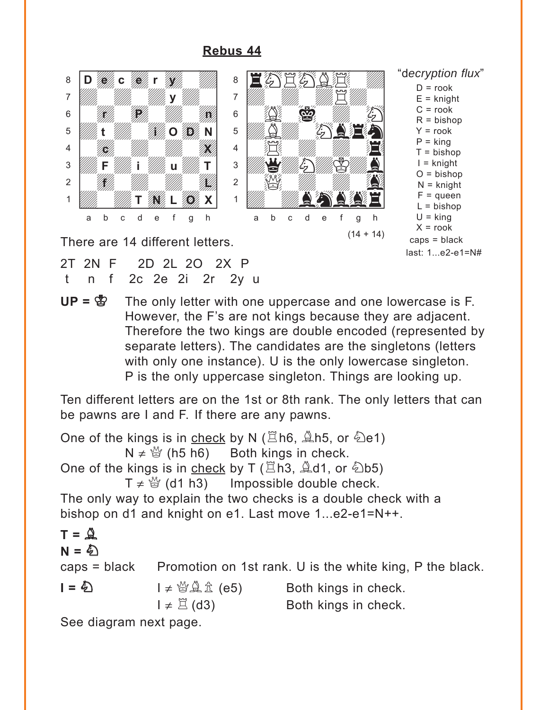

<span id="page-21-0"></span>

2T 2N F 2D 2L 2O 2X P

t n f 2c 2e 2i 2r 2y u

 $UP = \bigcirc P$  The only letter with one uppercase and one lowercase is F. However, the F's are not kings because they are adjacent. Therefore the two kings are double encoded (represented by separate letters). The candidates are the singletons (letters with only one instance). U is the only lowercase singleton. P is the only uppercase singleton. Things are looking up.

Ten different letters are on the 1st or 8th rank. The only letters that can be pawns are I and F. If there are any pawns.

One of the kings is in check by N ( $\Xi$ h6,  $\tilde{\Xi}$ h5, or  $\tilde{\Xi}$ e1)  $N \neq \frac{M}{Q}$  (h5 h6) Both kings in check. One of the kings is in check by T ( $\Xi$ h3,  $\angle$ d1, or  $\angle$ b5)  $T \neq \frac{M}{Q}$  (d1 h3) Impossible double check. The only way to explain the two checks is a double check with a bishop on d1 and knight on e1. Last move 1...e2-e1=N++. **T =** B **N** = 4 caps  $=$  black Promotion on 1st rank. U is the white king, P the black. **I = ❹** I ≠ 營奠金 (e5) Both kings in check.  $I \neq \Xi$  (d3) Both kings in check. See diagram next page.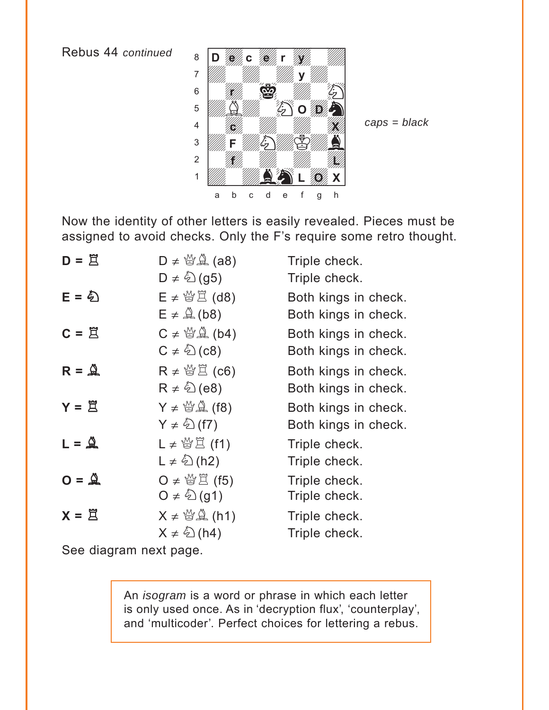Rebus 44 *continued*



*caps = black*

Now the identity of other letters is easily revealed. Pieces must be assigned to avoid checks. Only the F's require some retro thought.

| $D = \overline{\Xi}$                | $D \neq \mathcal{Q}(\mathcal{A})$ (a8)          | Triple check.        |
|-------------------------------------|-------------------------------------------------|----------------------|
|                                     | $D \neq \sqrt[\ell]{2}$ (g5)                    | Triple check.        |
| $E = 5$                             | $E \neq \mathcal{L}(\mathsf{d}8)$               | Both kings in check. |
|                                     | $E \neq \mathcal{Q}(b8)$                        | Both kings in check. |
| $C = \underline{\overline{z}}$      | $C \neq \mathcal{L}(\mathsf{b4})$               | Both kings in check. |
|                                     | $C \neq \bigcirc$ (c8)                          | Both kings in check. |
| $R = \overset{N}{\triangle}$        | $R \neq \mathcal{L}(\mathsf{C6})$               | Both kings in check. |
|                                     | $R \neq \textcircled{k}$ (e8)                   | Both kings in check. |
| $Y = \tilde{\Xi}$                   | $Y \neq \mathcal{L}(\mathcal{L})$ (f8)          | Both kings in check. |
|                                     | $Y \neq \mathcal{L}(f7)$                        | Both kings in check. |
| $L = \overset{\circ}{\mathfrak{A}}$ | L≠營買(f1)                                        | Triple check.        |
|                                     | $L \neq \overset{\wedge}{\Leftrightarrow}$ (h2) | Triple check.        |
| $Q = \mathbb{Q}$                    | O ≠ 營営 (f5)                                     | Triple check.        |
|                                     | $Q \neq \mathcal{L}(q1)$                        | Triple check.        |
| $X = \overline{z}$                  | $X \neq \mathcal{L}(\mathsf{h}1)$               | Triple check.        |
|                                     | $X \neq \mathcal{L}(h4)$                        | Triple check.        |

See diagram next page.

An *isogram* is a word or phrase in which each letter is only used once. As in 'decryption flux', 'counterplay', and 'multicoder'. Perfect choices for lettering a rebus.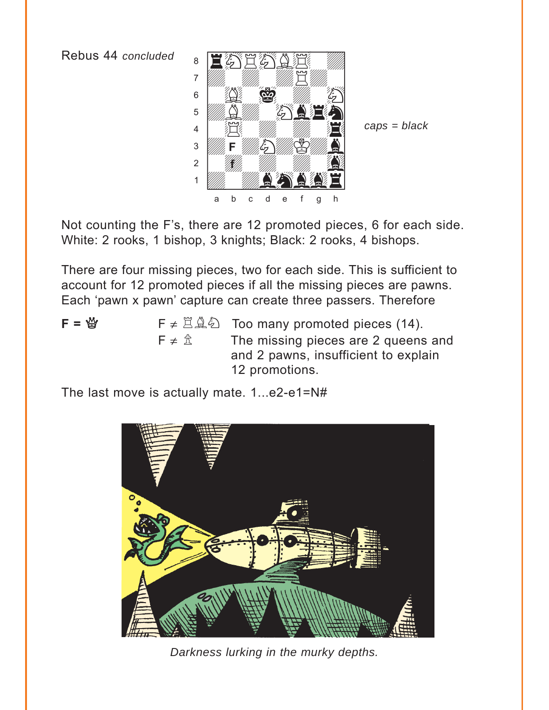Rebus 44 *concluded*



*caps = black*

Not counting the F's, there are 12 promoted pieces, 6 for each side. White: 2 rooks, 1 bishop, 3 knights; Black: 2 rooks, 4 bishops.

There are four missing pieces, two for each side. This is sufficient to account for 12 promoted pieces if all the missing pieces are pawns. Each 'pawn x pawn' capture can create three passers. Therefore

- 
- **<b>F**  $\neq \mathbb{Z} \triangleq \mathbb{Z}$  Too many promoted pieces (14).  $F \neq \hat{\mathbb{Z}}$  The missing pieces are 2 queens and and 2 pawns, insufficient to explain 12 promotions.

The last move is actually mate. 1...e2-e1=N#



*Darkness lurking in the murky depths.*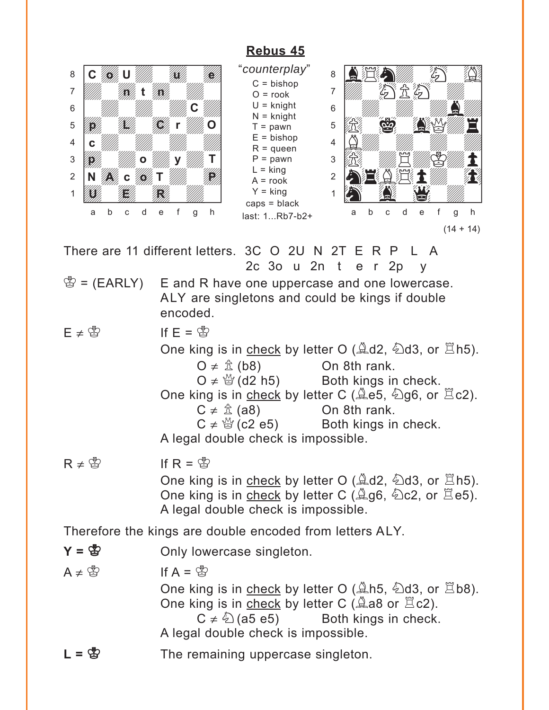<span id="page-24-0"></span>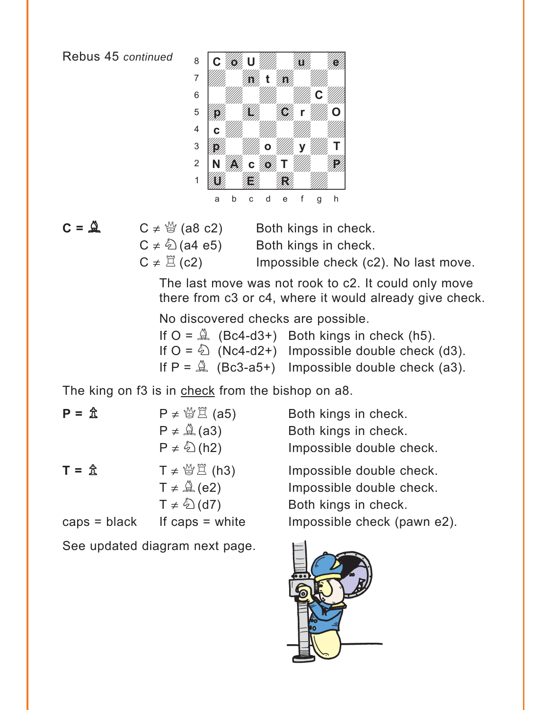

 $C = \mathbb{Q}$   $C \neq \mathbb{Q}$  (a8 c2) Both kings in check.

 $C \neq \textcircled{2}$  (a4 e5) Both kings in check.

 $C \neq \mathbb{E}$  (c2) Impossible check (c2). No last move.

The last move was not rook to c2. It could only move there from c3 or c4, where it would already give check.

No discovered checks are possible.

|  | If $O = \mathbb{Q}$ (Bc4-d3+) Both kings in check (h5).     |
|--|-------------------------------------------------------------|
|  | If $O = \bigotimes (Nc4-d2+)$ Impossible double check (d3). |
|  | If $P = \mathbb{Q}$ (Bc3-a5+) Impossible double check (a3). |

The king on f3 is in check from the bishop on a8.

| $P = \hat{\mathbb{Z}}$ | $P \neq \mathcal{L}(\mathsf{a}5)$ | Both kings in check.        |
|------------------------|-----------------------------------|-----------------------------|
|                        | $P \neq \mathcal{Q}(a3)$          | Both kings in check.        |
|                        | $P \neq \hat{\mathbb{Q}}$ (h2)    | Impossible double check.    |
| $T = \hat{\mathbb{Z}}$ | $T \neq \mathcal{L}(\mathsf{h}3)$ | Impossible double check.    |
|                        | $T \neq \mathcal{L}(e2)$          | Impossible double check.    |
|                        | $T \neq \mathcal{L}(d7)$          | Both kings in check.        |
| $caps = black$         | If caps $=$ white                 | Impossible check (pawn e2). |

See updated diagram next page.

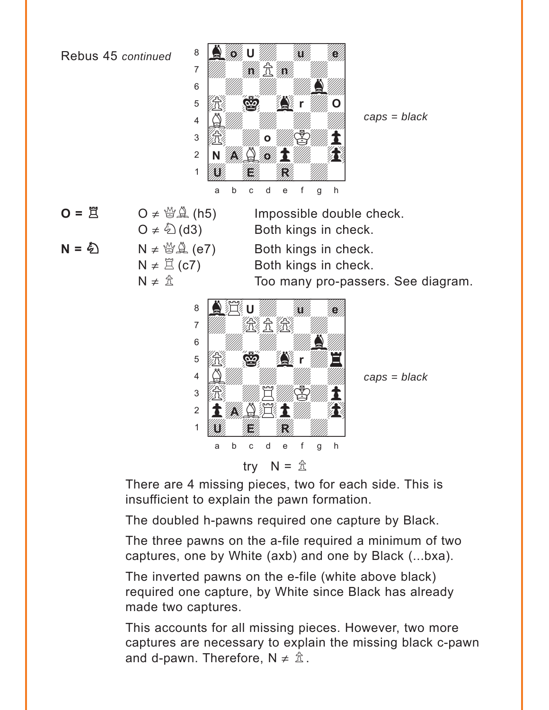

 $O \neq \mathcal{B}(\mathbb{A})$  (h5) Impossible double check.

*caps = black*

$$
O = \Xi
$$

$$
N = \bigotimes \qquad N \neq \bigotimes^{\omega} \mathcal{L} \quad (e
$$

 $O \neq \textcircled{2}$  (d3) Both kings in check. 7) Both kings in check.

 $N \neq \mathbb{Z}$  (c7) Both kings in check.

 $N \neq \hat{\mathbb{Z}}$  Too many pro-passers. See diagram.



*caps = black*

There are 4 missing pieces, two for each side. This is insufficient to explain the pawn formation.

The doubled h-pawns required one capture by Black.

The three pawns on the a-file required a minimum of two captures, one by White (axb) and one by Black (...bxa).

The inverted pawns on the e-file (white above black) required one capture, by White since Black has already made two captures.

This accounts for all missing pieces. However, two more captures are necessary to explain the missing black c-pawn and d-pawn. Therefore,  $N \neq \hat{\mathbb{Z}}$ .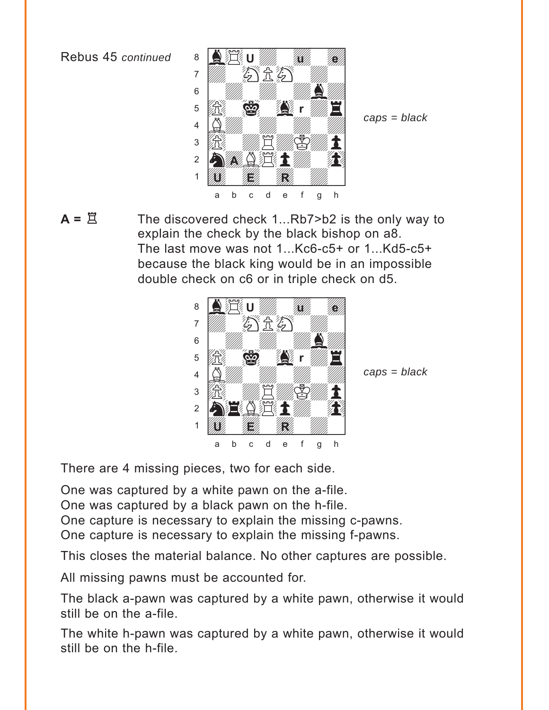

*caps = black*

**A** =  $\Xi$  The discovered check 1...Rb7>b2 is the only way to explain the check by the black bishop on a8. The last move was not 1...Kc6-c5+ or 1...Kd5-c5+ because the black king would be in an impossible double check on c6 or in triple check on d5.



*caps = black*

There are 4 missing pieces, two for each side.

One was captured by a white pawn on the a-file.

One was captured by a black pawn on the h-file.

One capture is necessary to explain the missing c-pawns.

One capture is necessary to explain the missing f-pawns.

This closes the material balance. No other captures are possible.

All missing pawns must be accounted for.

The black a-pawn was captured by a white pawn, otherwise it would still be on the a-file.

The white h-pawn was captured by a white pawn, otherwise it would still be on the h-file.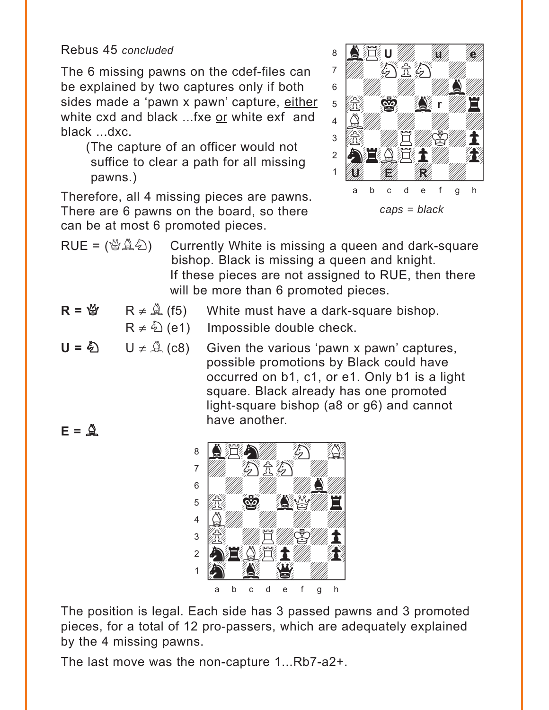Rebus 45 *concluded*

The 6 missing pawns on the cdef-files can be explained by two captures only if both sides made a 'pawn x pawn' capture, either white cxd and black ...fxe or white exf and black ...dxc.

(The capture of an officer would not suffice to clear a path for all missing pawns.)

Therefore, all 4 missing pieces are pawns. There are 6 pawns on the board, so there can be at most 6 promoted pieces.



- RUE =  $(\mathcal{B}\hat{\mathbb{Q}}\hat{\mathbb{Q}})$  Currently White is missing a queen and dark-square bishop. Black is missing a queen and knight. If these pieces are not assigned to RUE, then there will be more than 6 promoted pieces.
- $R = \mathcal{Q}$  R  $\neq$   $\mathcal{Q}$  (f5) White must have a dark-square bishop.
	- $R \neq \hat{\mathbb{Q}}$  (e1) Impossible double check.
- **U** =  $\bigcirc$  U ≠  $\bigcirc$  (c8) Given the various 'pawn x pawn' captures, possible promotions by Black could have occurred on b1, c1, or e1. Only b1 is a light square. Black already has one promoted light-square bishop (a8 or g6) and cannot have another.  $E = \mathbf{Q}$



The position is legal. Each side has 3 passed pawns and 3 promoted pieces, for a total of 12 pro-passers, which are adequately explained by the 4 missing pawns.

The last move was the non-capture 1...Rb7-a2+.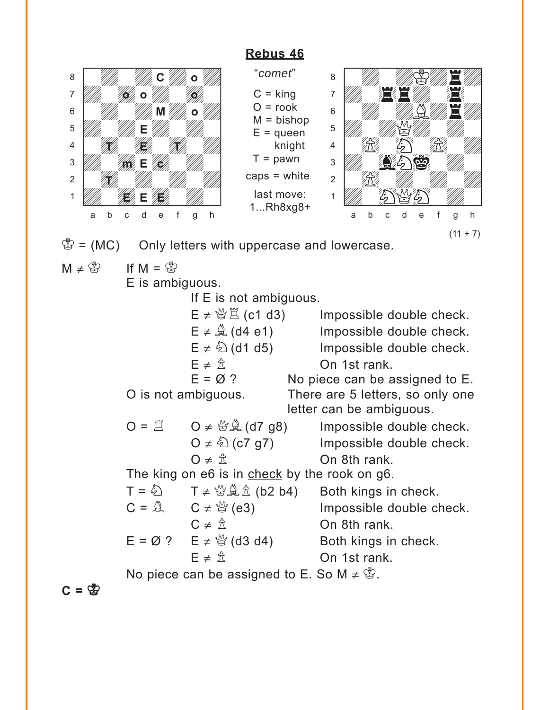<span id="page-29-0"></span>

"*comet*"  $C =$  king  $O =$  rook  $M = bishop$  $E =$ queen knight  $T =$  pawn caps = white last move: 1...Rh8xg8+



 $\mathcal{L} = (MC)$  Only letters with uppercase and lowercase.

 $M \neq \overset{\circ}{\mathbb{E}}$  If  $M = \overset{\circ}{\mathbb{E}}$ 

E is ambiguous.

If E is not ambiguous.

 $E \neq \mathcal{B} \nsubseteq$  (c1 d3) Impossible double check.  $E \neq \mathcal{Q}$  (d4 e1) Impossible double check.  $E \neq \hat{\mathbb{Q}}$  (d1 d5) Impossible double check.  $E \neq \hat{\mathbb{Z}}$  On 1st rank.<br>  $F = \emptyset$  ? No piece can be a No piece can be assigned to  $E$ . O is not ambiguous. There are 5 letters, so only one letter can be ambiguous.  $O = \Box$   $O \neq \mathcal{Q}(\mathcal{Q})$  (d7 g8) Impossible double check.  $Q \neq \hat{Q}$  (c7 g7) Impossible double check.  $\mathsf{O} \neq \hat{\mathbb{Z}}$  On 8th rank. The king on e6 is in check by the rook on g6.  $T = \hat{\triangle}$   $T \neq \hat{\triangle} \hat{\triangle}$  (b2 b4) Both kings in check.  $C = \mathbb{Q}$   $C \neq \mathbb{Q}$  (e3) Impossible double check.

$$
C \neq \frac{\hat{\pi}}{2}
$$
 On 8th rank.  
\n
$$
E = \emptyset ? \qquad E \neq \frac{\hat{\pi}}{2}
$$
 (d3 d4) Both kings in check.  
\nOn 1st rank.

No piece can be assigned to E. So  $M \neq \mathcal{B}$ .

 $C = \mathfrak{B}$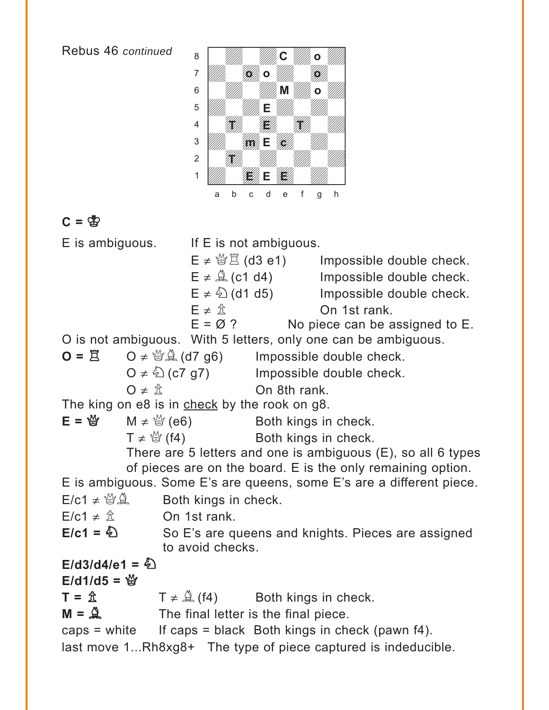

# $C = \mathfrak{B}$

E is ambiguous. If E is not ambiguous.  $E \neq \frac{M}{2}$  (d3 e1) Impossible double check.  $E \neq \mathcal{Q}$  (c1 d4) Impossible double check.  $E \neq \hat{\triangle}$  (d1 d5) Impossible double check.  $E \neq \hat{\mathbb{Z}}$  On 1st rank.  $E = \emptyset$  ? No piece can be assigned to E. O is not ambiguous. With 5 letters, only one can be ambiguous.  $\mathbf{O} = \mathbf{\ddot{R}}$   $\mathbf{O} \neq \mathbf{\ddot{B}} \mathbf{\ddot{A}}$  (d7 g6) Impossible double check.  $O \neq \mathcal{L}$  (c7 g7) Impossible double check.  $\mathsf{O} \neq \hat{\mathbb{Z}}$  On 8th rank. The king on e8 is in check by the rook on g8.  $E = \frac{M}{Q}$  M  $\neq \frac{M}{Q}$  (e6) Both kings in check.  $T \neq \frac{M}{Q}$  (f4) Both kings in check. There are 5 letters and one is ambiguous (E), so all 6 types of pieces are on the board. E is the only remaining option. E is ambiguous. Some E's are queens, some E's are a different piece.  $E/c1 \neq \mathcal{B}\mathcal{L}$  Both kings in check.  $E/c1 \neq \hat{\mathbb{Z}}$  On 1st rank. E/c1 =  $\hat{D}$  So E's are queens and knights. Pieces are assigned to avoid checks.  $E/d3/d4/e1 = \frac{1}{2}$  $E$ /d1/d5 =  $\frac{M}{M}$  $T = \hat{\mathbb{Z}}$   $T \neq \hat{\mathbb{Z}}$  (f4) Both kings in check.  $M = \mathbb{R}$  The final letter is the final piece. caps = white If caps = black Both kings in check (pawn  $f4$ ). last move 1...Rh8xg8+ The type of piece captured is indeducible.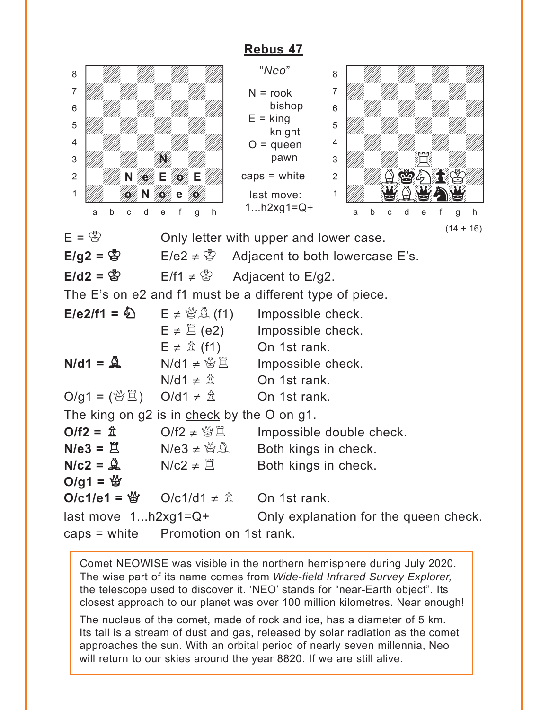<span id="page-31-0"></span>

|                                       |                                                                 | RADUS 47              |                                                             |
|---------------------------------------|-----------------------------------------------------------------|-----------------------|-------------------------------------------------------------|
| 8                                     |                                                                 | "Neo"                 | 8                                                           |
| 7                                     |                                                                 | $N = root$            | 7                                                           |
| 6                                     |                                                                 | bishop                | 6                                                           |
| 5                                     |                                                                 | $E =$ king            | 5                                                           |
| 4                                     |                                                                 | knight<br>$O =$ queen | 4                                                           |
| 3                                     |                                                                 | pawn                  | 3                                                           |
| $\overline{c}$                        | Ε                                                               | caps $=$ white        | $\overline{2}$                                              |
| 1                                     |                                                                 | last move:            | 1                                                           |
|                                       |                                                                 | 1 $h2xg1 = Q +$       |                                                             |
| b<br>d<br>Ć<br>a                      | h<br>è<br>q                                                     |                       | h<br>b<br>d<br>a<br>e<br>C<br>q                             |
| $E = \bigcirc$                        | Only letter with upper and lower case.                          |                       | $(14 + 16)$                                                 |
| $E/g2 = \circledS$                    | E/e2 $\neq$ \& Adjacent to both lowercase E's.                  |                       |                                                             |
| $E/d2 =$ 땅                            | $E/f1 \neq$ $\otimes$ Adjacent to E/g2.                         |                       |                                                             |
|                                       | The E's on e2 and f1 must be a different type of piece.         |                       |                                                             |
| $E/e2/f1 = \frac{E}{2}$               | $E \neq \mathcal{L}(\mathbf{f}1)$                               | Impossible check.     |                                                             |
|                                       | $E \neq \mathbb{E}$ (e2) Impossible check.                      |                       |                                                             |
|                                       | $E \neq \hat{\mathbb{Z}}$ (f1)                                  | On 1st rank.          |                                                             |
| $N/d1 = \mathcal{Q}$                  | $N/d1 \neq \frac{36}{2}$ Impossible check.                      |                       |                                                             |
|                                       | $N/d1 \neq \hat{\mathbb{Z}}$                                    | On 1st rank.          |                                                             |
| O/g1 = (營営) O/d1 ≠ $\hat{\mathbb{Z}}$ |                                                                 | On 1st rank.          |                                                             |
|                                       | The king on g2 is in check by the O on g1.                      |                       |                                                             |
| $O/f2 = \frac{A}{A}$                  | O/f2 $\neq$ $\frac{10}{2}$                                      |                       | Impossible double check.                                    |
| $N/e3 = \Xi$                          | $N/e3 \neq \mathcal{B} \mathcal{L}$                             | Both kings in check.  |                                                             |
|                                       | $N/c2 = \mathbb{Q}$ $N/c2 \neq \mathbb{Z}$ Both kings in check. |                       |                                                             |
| O/g1 = $\frac{16}{3}$                 |                                                                 |                       |                                                             |
|                                       | O/c1/e1 = ៉ូ $O/c1/d1 \neq \hat{\mathbb{Z}}$ On 1st rank.       |                       |                                                             |
|                                       |                                                                 |                       | last move $1h2xg1=Q+$ Only explanation for the queen check. |
| caps = white Promotion on 1st rank.   |                                                                 |                       |                                                             |

Comet NEOWISE was visible in the northern hemisphere during July 2020. The wise part of its name comes from *Wide-field Infrared Survey Explorer,*  the telescope used to discover it. 'NEO' stands for "near-Earth object". Its closest approach to our planet was over 100 million kilometres. Near enough!

The nucleus of the comet, made of rock and ice, has a diameter of 5 km. Its tail is a stream of dust and gas, released by solar radiation as the comet approaches the sun. With an orbital period of nearly seven millennia, Neo will return to our skies around the year 8820. If we are still alive.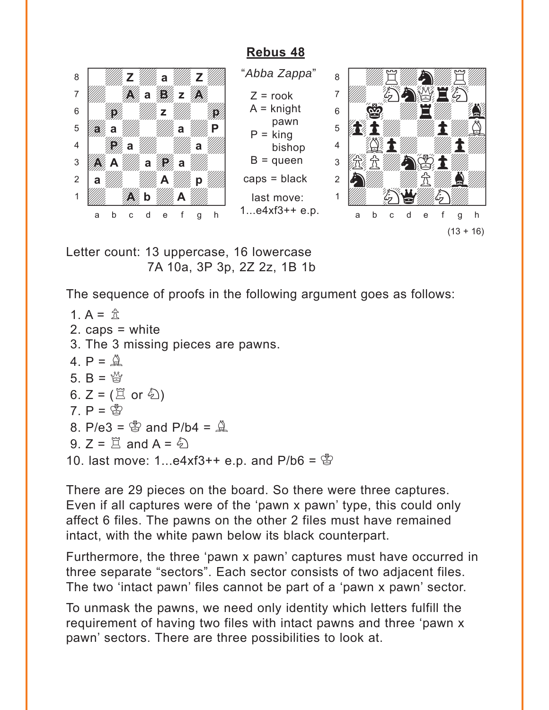<span id="page-32-0"></span>

Letter count: 13 uppercase, 16 lowercase 7A 10a, 3P 3p, 2Z 2z, 1B 1b

The sequence of proofs in the following argument goes as follows:

```
1. A = \hat{R}2. caps = white
3. The 3 missing pieces are pawns.
4. P = \mathcal{Q}5. B = \frac{M}{2}6. Z = (\Xi \text{ or } \&)7. P = \circledcirc8. P/e3 = \frac{8}{9} and P/b4 = \frac{8}{9}9. Z = \Xi and A = \tilde{Q}10. last move: 1...e4xf3++ e.p. and P/b6 = \frac{B}{2}
```
There are 29 pieces on the board. So there were three captures. Even if all captures were of the 'pawn x pawn' type, this could only affect 6 files. The pawns on the other 2 files must have remained intact, with the white pawn below its black counterpart.

Furthermore, the three 'pawn x pawn' captures must have occurred in three separate "sectors". Each sector consists of two adjacent files. The two 'intact pawn' files cannot be part of a 'pawn x pawn' sector.

To unmask the pawns, we need only identity which letters fulfill the requirement of having two files with intact pawns and three 'pawn x pawn' sectors. There are three possibilities to look at.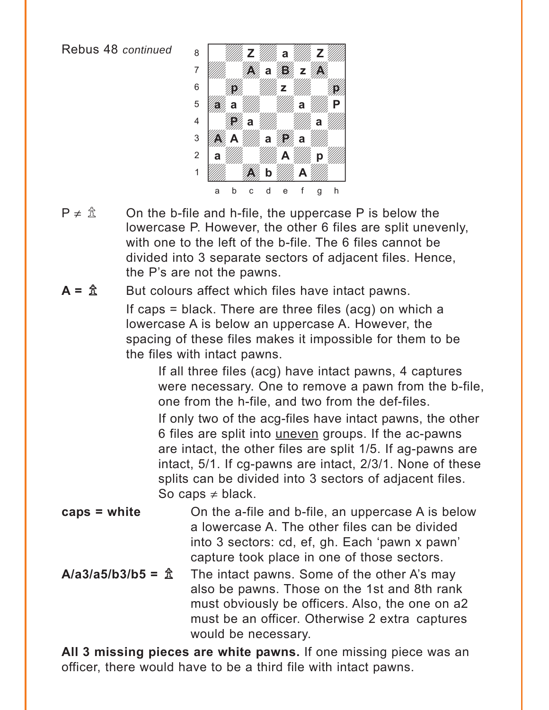

 $P \neq \hat{\mathbb{Z}}$  On the b-file and h-file, the uppercase P is below the lowercase P. However, the other 6 files are split unevenly, with one to the left of the b-file. The 6 files cannot be divided into 3 separate sectors of adjacent files. Hence, the P's are not the pawns.

 $A = \hat{\mathbb{Z}}$  But colours affect which files have intact pawns.

If caps = black. There are three files (acg) on which a lowercase A is below an uppercase A. However, the spacing of these files makes it impossible for them to be the files with intact pawns.

If all three files (acg) have intact pawns, 4 captures were necessary. One to remove a pawn from the b-file, one from the h-file, and two from the def-files. If only two of the acg-files have intact pawns, the other 6 files are split into uneven groups. If the ac-pawns are intact, the other files are split 1/5. If ag-pawns are intact, 5/1. If cg-pawns are intact, 2/3/1. None of these splits can be divided into 3 sectors of adjacent files. So caps  $\neq$  black.

- **caps = white** On the a-file and b-file, an uppercase A is below a lowercase A. The other files can be divided into 3 sectors: cd, ef, gh. Each 'pawn x pawn' capture took place in one of those sectors.
- $A/a3/a5/b3/b5 = \text{?}$  The intact pawns. Some of the other A's may also be pawns. Those on the 1st and 8th rank must obviously be officers. Also, the one on a2 must be an officer. Otherwise 2 extra captures would be necessary.

**All 3 missing pieces are white pawns.** If one missing piece was an officer, there would have to be a third file with intact pawns.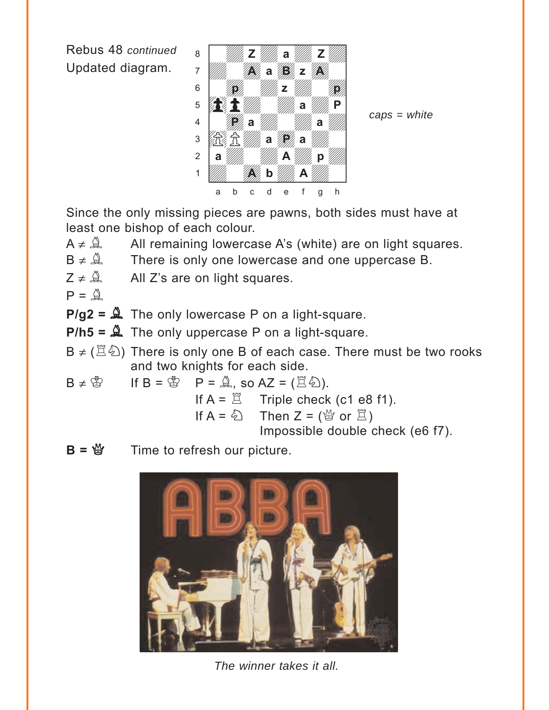Rebus 48 *continued* Updated diagram.



*caps = white*

Since the only missing pieces are pawns, both sides must have at least one bishop of each colour.

- $A \neq \mathbb{A}$  All remaining lowercase A's (white) are on light squares.
- $B \neq \mathcal{Q}$  There is only one lowercase and one uppercase B.
- $Z \neq \hat{A}$  All Z's are on light squares.
- $P = \mathbf{\mathbf{\mathbf{\mathbf{\mathbb{R}}}}}$
- $P/g2 = \mathcal{Q}$  The only lowercase P on a light-square.
- **P/h5 =** B The only uppercase P on a light-square.
- B  $\neq$  ( $\mathbb{Z}\hat{\otimes}$ ) There is only one B of each case. There must be two rooks and two knights for each side.
- $B \neq \mathbb{S}$  If  $B = \mathbb{S}$  P =  $\hat{\mathbb{A}}$ , so AZ =  $(\mathbb{E}\hat{\mathbb{A}})$ .
	- If  $A = \Box$  Triple check (c1 e8 f1). If  $A = \hat{Q}$  Then  $Z = (\hat{Q} \text{ or } \hat{\Xi})$

Impossible double check (e6 f7).

**B** = 營 Time to refresh our picture.



*The winner takes it all.*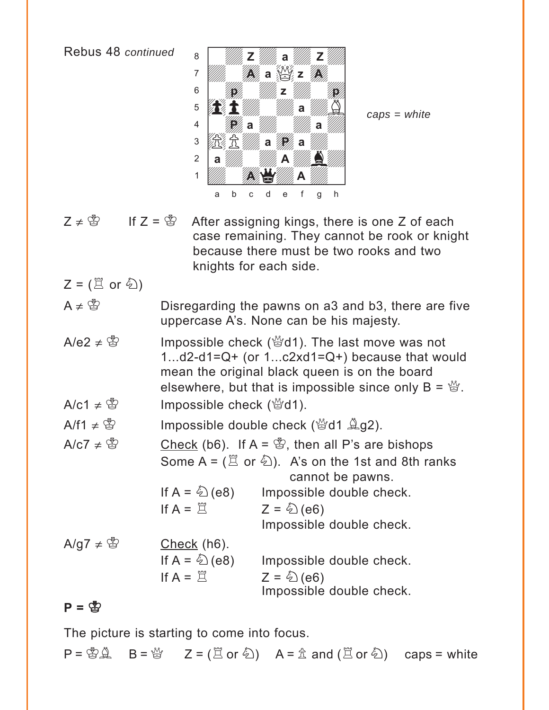

*caps = white*

- $Z \neq \mathcal{Z}$  If  $Z = \mathcal{Z}$  After assigning kings, there is one Z of each case remaining. They cannot be rook or knight because there must be two rooks and two knights for each side.
- $Z = (\mathbb{Z} \text{ or } \mathbb{Z})$
- A  $\neq$   $\mathbb{S}$  Disregarding the pawns on a3 and b3, there are five uppercase A's. None can be his majesty.
- A/e2  $\neq$   $\mathbb{S}$  Impossible check ( $\mathbb{S}$ d1). The last move was not 1...d2-d1=Q+ (or 1...c2xd1=Q+) because that would mean the original black queen is on the board elsewhere, but that is impossible since only  $B = \mathcal{B}$ .  $A/c1 \neq \mathcal{B}$  Impossible check ( $\mathcal{B}$ d1).
- $A/f1 \neq \mathcal{B}$  Impossible double check ( $\mathcal{B}d1 \triangleq g2$ ).
- $A/C7 \neq \mathcal{B}$  Check (b6). If A =  $\mathcal{B}$ , then all P's are bishops Some A =  $(\mathbb{Z}$  or  $\mathbb{Z})$ . A's on the 1st and 8th ranks cannot be pawns. If  $A = \&set (e8)$  Impossible double check. If  $A = \Box$   $Z = \bigodot (e6)$ Impossible double check.  $A/g7 \neq \mathcal{B}$  Check (h6).

If  $A = \triangle$  (e8) Impossible double check. If  $A = \Box$   $Z = \bigodot (e6)$ Impossible double check.

#### $P = \bigotimes$

The picture is starting to come into focus.

 $P = \bigotimes_{i=1}^{\infty} A_i$  B =  $\bigotimes_{i=1}^{\infty} Z = (\Xi \text{ or } \hat{\xi})$  A =  $\hat{\Sigma}$  and  $(\Xi \text{ or } \hat{\xi})$  caps = white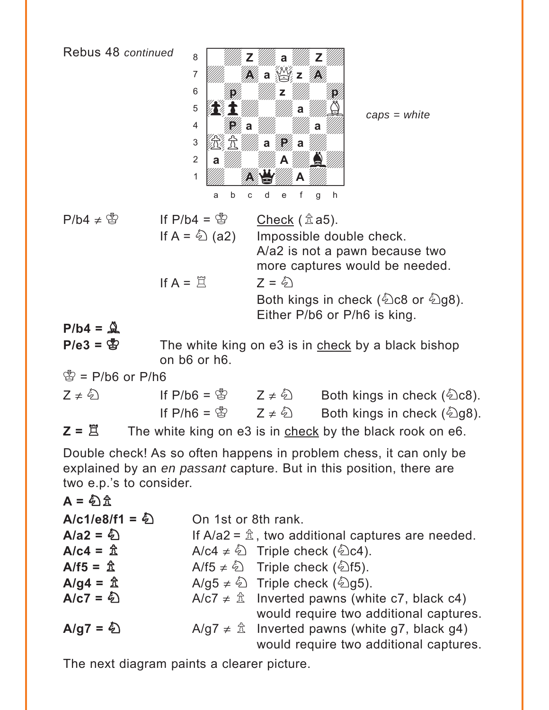

*caps = white*

| $P/b4 \neq \circledS$ | If $P/b4 = \frac{8}{3}$              | Check $(\hat{\mathbb{Z}}$ a5).             |
|-----------------------|--------------------------------------|--------------------------------------------|
|                       | If A = $\stackrel{\&}{\otimes}$ (a2) | Impossible double check.                   |
|                       |                                      | A/a2 is not a pawn because two             |
|                       |                                      | more captures would be needed.             |
|                       | If $A = \tilde{\Pi}$                 | $7 = 5$                                    |
|                       |                                      | Both kings in check ( $\&$ c8 or $\&$ g8). |
|                       |                                      | Either P/b6 or P/h6 is king.               |

 $P/b4 = \mathcal{Q}$ 

**P/e3 = <a>** The white king on e3 is in check by a black bishop on b6 or h6.

 $\circled{2}$  = P/b6 or P/h6

| $Z \neq \mathcal{L}$ | If $P/b6 = \frac{B}{B}$ | $Z \neq \mathcal{L}$ | Both kings in check $(\&$ c8).              |
|----------------------|-------------------------|----------------------|---------------------------------------------|
|                      | If $P/h6 = \circledS$   | $Z \neq \mathcal{L}$ | Both kings in check $(\textcircled{2}$ g8). |
|                      |                         |                      |                                             |

 $Z = \Xi$  The white king on e3 is in check by the black rook on e6.

Double check! As so often happens in problem chess, it can only be explained by an *en passant* capture. But in this position, there are two e.p.'s to consider.

| $A = \& \hat{\mathbb{E}} \&$           | On 1st or 8th rank.                                                |
|----------------------------------------|--------------------------------------------------------------------|
| $A/a2 = \& \qquad \qquad$              | On 1st or 8th rank.                                                |
| $A/a2 = \& \qquad \qquad$              | If A/a2 = $\hat{\mathbb{E}}$ , two additional captures are needed. |
| $A/c4 = \& \qquad A/c4 \neq \& \qquad$ | Triple check ( $\& c4$ ).                                          |
| $A/f5 = \& \qquad A/f5 \neq \& \qquad$ | Triple check ( $\& f5$ ).                                          |
| $A/g4 = \& \qquad A/g5 \neq \& \qquad$ | Triple check ( $\& g5$ ).                                          |
| $A/c7 = \& \qquad A/c7 \neq \& \qquad$ | Inverted pawns (white c7, black c4)                                |
| $A/g7 = \& \qquad A/g7 \neq \& \qquad$ | Inverted pawns (white g7, black g4)                                |
| $A/g7 = \& \qquad A/g7 \neq \& \qquad$ | Inverted pawns (white g7, black g4)                                |

The next diagram paints a clearer picture.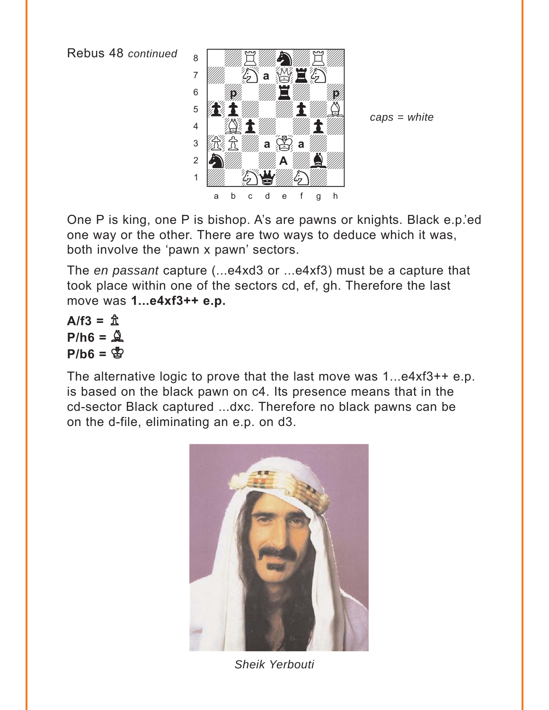

*caps = white*

One P is king, one P is bishop. A's are pawns or knights. Black e.p.'ed one way or the other. There are two ways to deduce which it was, both involve the 'pawn x pawn' sectors.

The *en passant* capture (...e4xd3 or ...e4xf3) must be a capture that took place within one of the sectors cd, ef, gh. Therefore the last move was **1...e4xf3++ e.p.**

 $A/f3 = \hat{B}$  $P/h6 = \mathcal{Q}$  $P/b6 =$  $P$ 

The alternative logic to prove that the last move was 1...e4xf3++ e.p. is based on the black pawn on c4. Its presence means that in the cd-sector Black captured ...dxc. Therefore no black pawns can be on the d-file, eliminating an e.p. on d3.



*Sheik Yerbouti*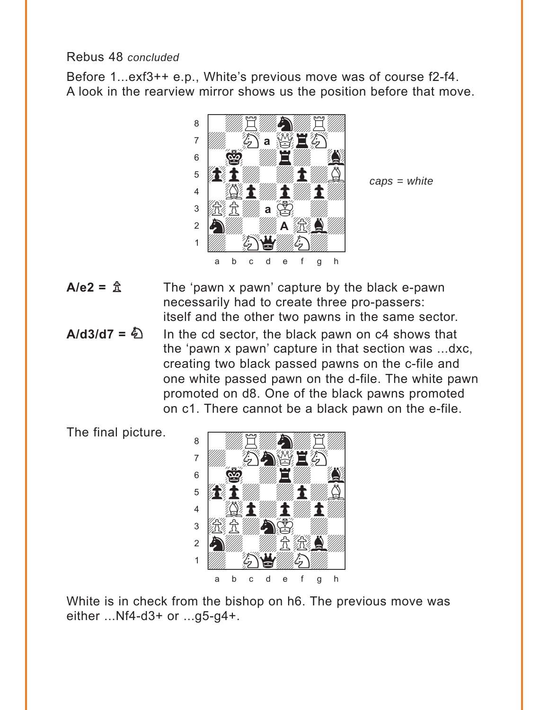#### Rebus 48 *concluded*

Before 1...exf3++ e.p., White's previous move was of course f2-f4. A look in the rearview mirror shows us the position before that move.



*caps = white*

- $A/e2 = \frac{A}{A}$  The 'pawn x pawn' capture by the black e-pawn necessarily had to create three pro-passers: itself and the other two pawns in the same sector.
- $A/d3/d7 = \bigcirc$  In the cd sector, the black pawn on c4 shows that the 'pawn x pawn' capture in that section was ...dxc, creating two black passed pawns on the c-file and one white passed pawn on the d-file. The white pawn promoted on d8. One of the black pawns promoted on c1. There cannot be a black pawn on the e-file.

The final picture.



White is in check from the bishop on h6. The previous move was either ...Nf4-d3+ or ...g5-g4+.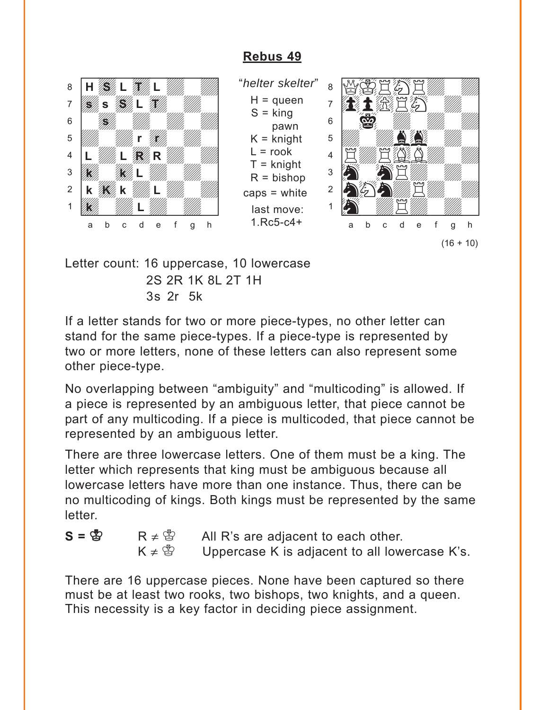<span id="page-39-0"></span>

"*helter skelter*"  $H =$ queen  $S =$  king pawn  $K =$  knight  $L =$ rook T = knight  $R = b$ ishop caps = white last move: 1.Rc5-c4+



Letter count: 16 uppercase, 10 lowercase 2S 2R 1K 8L 2T 1H 3s 2r 5k

If a letter stands for two or more piece-types, no other letter can stand for the same piece-types. If a piece-type is represented by two or more letters, none of these letters can also represent some other piece-type.

No overlapping between "ambiguity" and "multicoding" is allowed. If a piece is represented by an ambiguous letter, that piece cannot be part of any multicoding. If a piece is multicoded, that piece cannot be represented by an ambiguous letter.

There are three lowercase letters. One of them must be a king. The letter which represents that king must be ambiguous because all lowercase letters have more than one instance. Thus, there can be no multicoding of kings. Both kings must be represented by the same letter.

 $S = \mathbb{S}$  R  $\neq \mathbb{S}$  All R's are adjacent to each other.  $K \neq \mathbb{S}$  Uppercase K is adjacent to all lowercase K's.

There are 16 uppercase pieces. None have been captured so there must be at least two rooks, two bishops, two knights, and a queen. This necessity is a key factor in deciding piece assignment.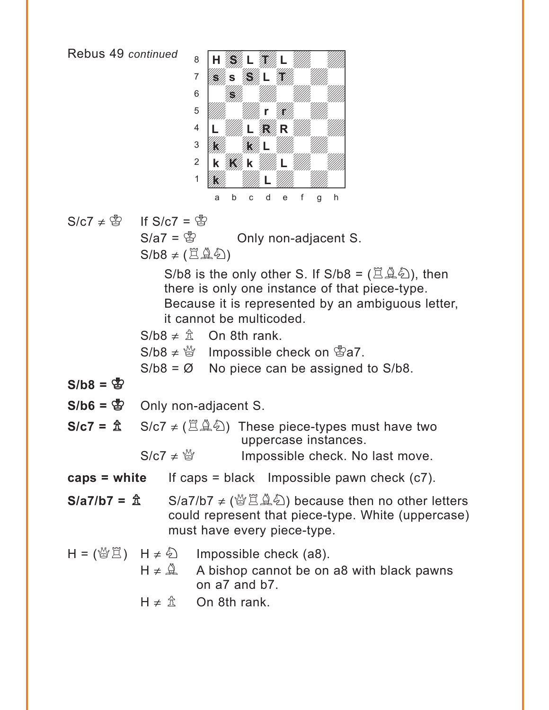

$$
S/C7 \neq \mathbb{S} \qquad \text{If } S/C7 = \mathbb{S}
$$

 $S/a7 = \circledS$  Only non-adjacent S.  $S/b8 \neq (\Xi \mathcal{L}\mathcal{L})$ 

S/b8 is the only other S. If  $S/b8 = (\mathbb{Z} \mathbb{A} \mathbb{Z})$ , then there is only one instance of that piece-type. Because it is represented by an ambiguous letter, it cannot be multicoded.

 $S/b8 \neq \hat{\pi}$  On 8th rank.  $S/b8 \neq \frac{M}{Q}$  Impossible check on  $\frac{M}{Q}a7$ .  $S/b8 = \emptyset$  No piece can be assigned to  $S/b8$ .

 $S/b8 = \frac{B}{B}$ 

 $S/b6 = \&$  Only non-adjacent S.

**S/c7 =**  $\hat{\mathbb{Z}}$  S/c7  $\neq$  ( $\hat{\mathbb{Z}}\hat{\mathbb{A}}\hat{\mathbb{Q}}$ ) These piece-types must have two uppercase instances.

 $S/c7 \neq \frac{60}{20}$  Impossible check. No last move.

**caps = white** If caps = black Impossible pawn check (c7).

- **S/a7/b7 =**  $\hat{\mathbf{\hat{x}}}$  **S/a7/b7 ≠ (營買負色) because then no other letters** could represent that piece-type. White (uppercase) must have every piece-type.
- $H = (\frac{M}{2} \ddot{\Xi})$  H  $\neq \ddot{\xi}$  Impossible check (a8).  $H \neq \hat{A}$  A bishop cannot be on a8 with black pawns on a7 and b7.
	- $H \neq \hat{\mathbb{Z}}$  On 8th rank.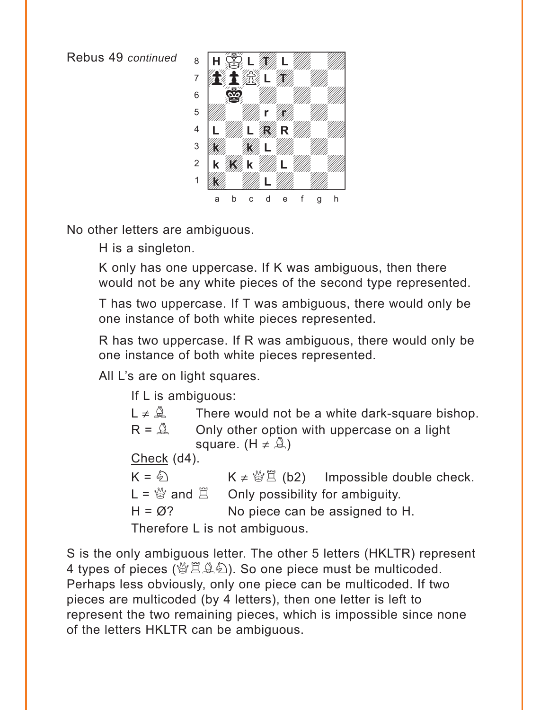

No other letters are ambiguous.

H is a singleton.

K only has one uppercase. If K was ambiguous, then there would not be any white pieces of the second type represented.

T has two uppercase. If T was ambiguous, there would only be one instance of both white pieces represented.

R has two uppercase. If R was ambiguous, there would only be one instance of both white pieces represented.

All L's are on light squares.

If L is ambiguous:

 $L \neq \mathcal{Q}$  There would not be a white dark-square bishop.

 $R = \mathbb{R}$  Only other option with uppercase on a light square. (H  $\neq$   $\mathbb{Q}$ )

Check (d4).

 $K = \textcircled{2}$   $K \neq \textcircled{2}$  (b2) Impossible double check.  $L = \frac{M}{Q}$  and  $\Xi$  Only possibility for ambiguity.  $H = \emptyset$ ? No piece can be assigned to H. Therefore L is not ambiguous.

S is the only ambiguous letter. The other 5 letters (HKLTR) represent 4 types of pieces (營罝奠名). So one piece must be multicoded. Perhaps less obviously, only one piece can be multicoded. If two pieces are multicoded (by 4 letters), then one letter is left to represent the two remaining pieces, which is impossible since none of the letters HKLTR can be ambiguous.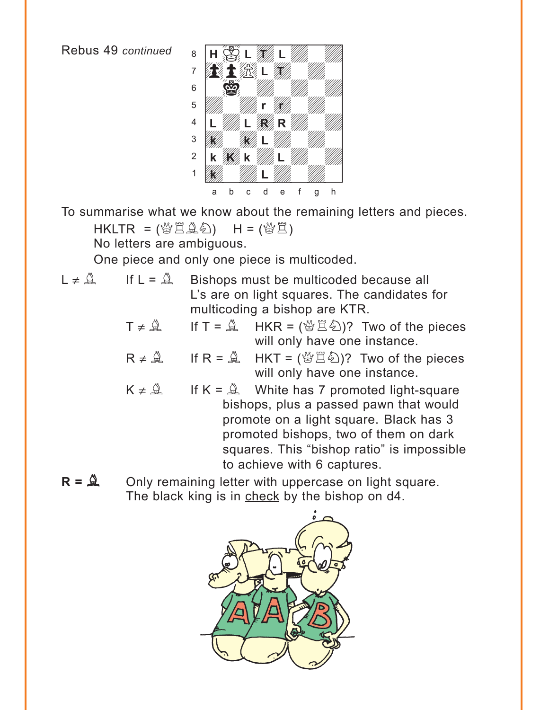

To summarise what we know about the remaining letters and pieces.

 $HKLTR =$  ( $\frac{M}{B}$  $\tilde{B}$  $\hat{B}$ )  $H =$  ( $\frac{M}{B}$  $\tilde{B}$ )

No letters are ambiguous.

One piece and only one piece is multicoded.

- $L \neq \mathbb{Q}$  If  $L = \mathbb{Q}$  Bishops must be multicoded because all L's are on light squares. The candidates for multicoding a bishop are KTR.
	- $T \neq \mathcal{Q}$  If  $T = \mathcal{Q}$  HKR = ( $\mathcal{Q}(\mathcal{Z})$ )? Two of the pieces will only have one instance.
	- $R \neq \hat{A}$  If  $R = \hat{A}$  HKT = ( $\mathcal{B}(\hat{B})$ ? Two of the pieces will only have one instance.
	- $K \neq \mathbb{Q}$  If  $K = \mathbb{Q}$  White has 7 promoted light-square bishops, plus a passed pawn that would promote on a light square. Black has 3 promoted bishops, two of them on dark squares. This "bishop ratio" is impossible to achieve with 6 captures.
- $R = \mathbf{A}$  Only remaining letter with uppercase on light square. The black king is in check by the bishop on d4.